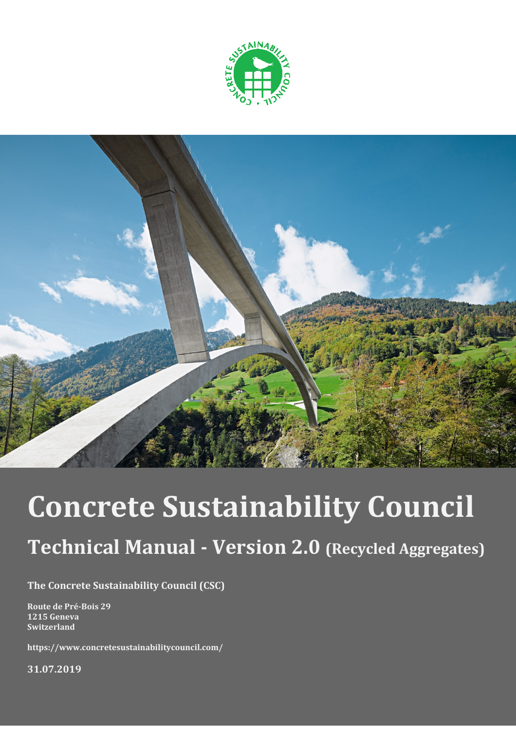



# **Concrete Sustainability Council**

# **Technical Manual - Version 2.0 (Recycled Aggregates)**

**The Concrete Sustainability Council (CSC)**

**Route de Pré-Bois 29 1215 Geneva Switzerland**

**https://www.concretesustainabilitycouncil.com/**

**31.07.2019**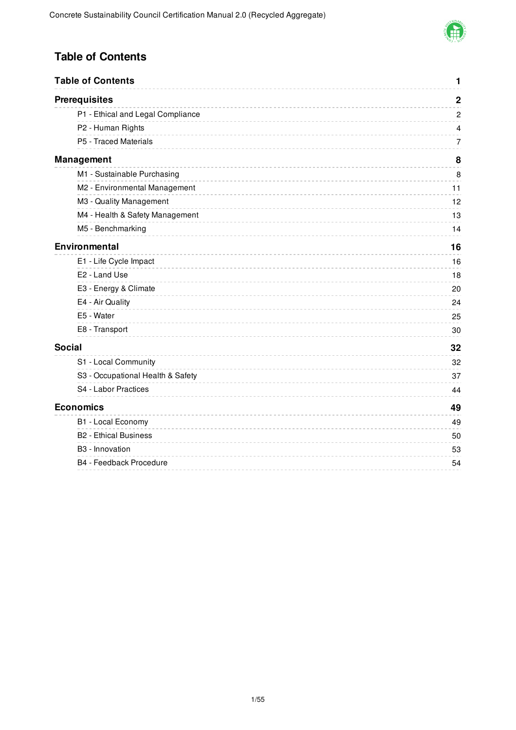

### **Table of Contents**

|               | <b>Table of Contents</b>          | 1              |
|---------------|-----------------------------------|----------------|
|               | <b>Prerequisites</b>              | $\overline{2}$ |
|               | P1 - Ethical and Legal Compliance | $\overline{c}$ |
|               | P2 - Human Rights                 | $\overline{4}$ |
|               | P5 - Traced Materials             | 7              |
|               | <b>Management</b>                 | 8              |
|               | M1 - Sustainable Purchasing       | 8              |
|               | M2 - Environmental Management     | 11             |
|               | M3 - Quality Management           | 12             |
|               | M4 - Health & Safety Management   | 13             |
|               | M5 - Benchmarking                 | 14             |
|               | <b>Environmental</b>              | 16             |
|               | E1 - Life Cycle Impact            | 16             |
|               | E2 - Land Use                     | 18             |
|               | E3 - Energy & Climate             | 20             |
|               | E4 - Air Quality                  | 24             |
|               | E5 - Water                        | 25             |
|               | E8 - Transport                    | 30             |
| <b>Social</b> |                                   | 32             |
|               | S1 - Local Community              | 32             |
|               | S3 - Occupational Health & Safety | 37             |
|               | S4 - Labor Practices              | 44             |
|               | <b>Economics</b>                  | 49             |
|               | B1 - Local Economy                | 49             |
|               | <b>B2 - Ethical Business</b>      | 50             |
|               | B3 - Innovation                   | 53             |
|               | B4 - Feedback Procedure           | 54             |
|               |                                   |                |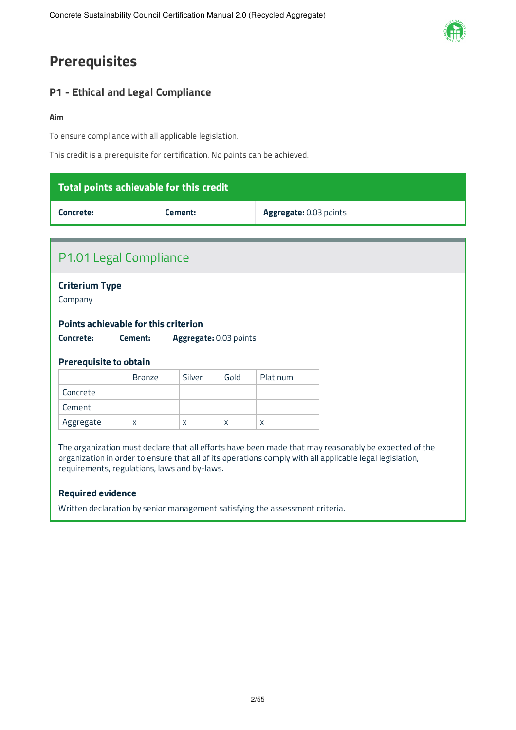# **Prerequisites**

### **P1 - Ethical and Legal Compliance**

#### **Aim**

To ensure compliance with all applicable legislation.

This credit is a prerequisite for certification. No points can be achieved.

| Total points achievable for this credit                                                                                                                                                                                                                          |               |                        |                        |          |  |
|------------------------------------------------------------------------------------------------------------------------------------------------------------------------------------------------------------------------------------------------------------------|---------------|------------------------|------------------------|----------|--|
| Concrete:<br>Cement:                                                                                                                                                                                                                                             |               |                        | Aggregate: 0.03 points |          |  |
|                                                                                                                                                                                                                                                                  |               |                        |                        |          |  |
| P1.01 Legal Compliance                                                                                                                                                                                                                                           |               |                        |                        |          |  |
| <b>Criterium Type</b><br>Company                                                                                                                                                                                                                                 |               |                        |                        |          |  |
| <b>Points achievable for this criterion</b>                                                                                                                                                                                                                      |               |                        |                        |          |  |
| Concrete:                                                                                                                                                                                                                                                        | Cement:       | Aggregate: 0.03 points |                        |          |  |
| <b>Prerequisite to obtain</b>                                                                                                                                                                                                                                    |               |                        |                        |          |  |
|                                                                                                                                                                                                                                                                  | <b>Bronze</b> | Silver                 | Gold                   | Platinum |  |
| Concrete                                                                                                                                                                                                                                                         |               |                        |                        |          |  |
| Cement                                                                                                                                                                                                                                                           |               |                        |                        |          |  |
| Aggregate                                                                                                                                                                                                                                                        | $\mathsf{x}$  | X                      | X                      | X        |  |
| The organization must declare that all efforts have been made that may reasonably be expected of the<br>organization in order to ensure that all of its operations comply with all applicable legal legislation,<br>requirements, regulations, laws and by-laws. |               |                        |                        |          |  |

#### **Required evidence**

Written declaration by senior management satisfying the assessment criteria.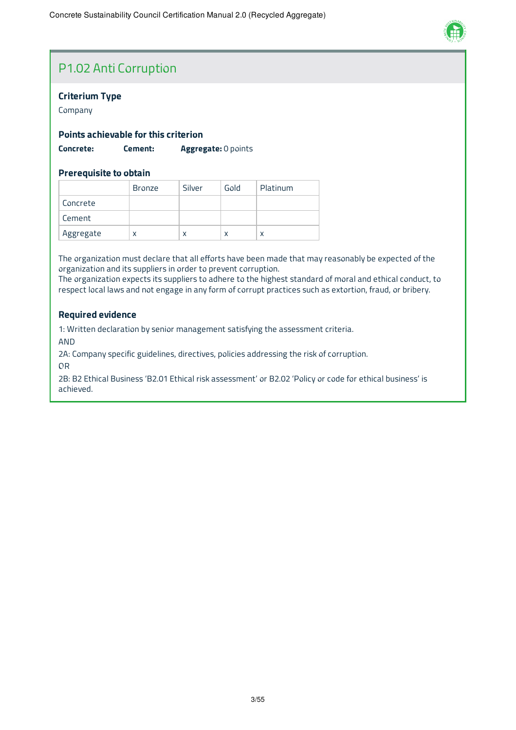

# P1.02 Anti Corruption

#### **Criterium Type**

Company

#### **Points achievable for this criterion**

**Concrete: Cement: Aggregate:** 0 points

#### **Prerequisite to obtain**

|           | <b>Bronze</b> | Silver | Gold | Platinum |
|-----------|---------------|--------|------|----------|
| Concrete  |               |        |      |          |
| Cement    |               |        |      |          |
| Aggregate | х             | X      | X    | x        |

The organization must declare that all efforts have been made that may reasonably be expected of the organization and its suppliers in order to prevent corruption.

The organization expects its suppliers to adhere to the highest standard of moral and ethical conduct, to respect local laws and not engage in any form of corrupt practices such as extortion, fraud, or bribery.

#### **Required evidence**

1: Written declaration by senior management satisfying the assessment criteria.

AND

2A: Company specific guidelines, directives, policies addressing the risk of corruption.

OR

2B: B2 Ethical Business 'B2.01 Ethical risk assessment' or B2.02 'Policy or code for ethical business' is achieved.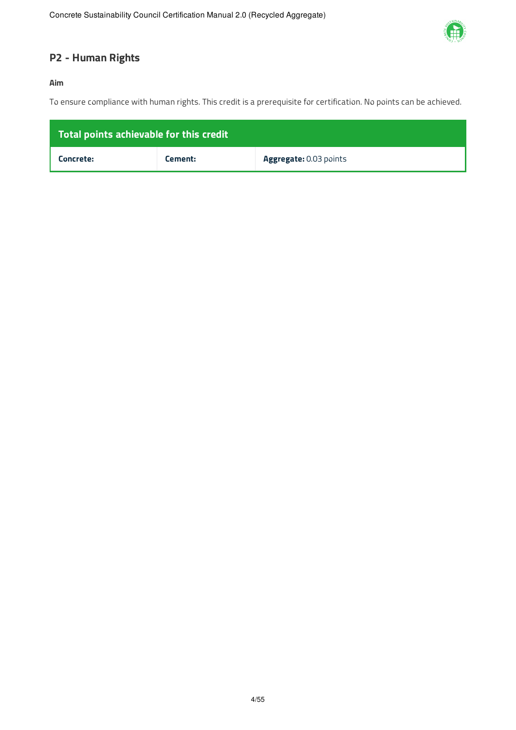

### **P2 - Human Rights**

#### **Aim**

To ensure compliance with human rights. This credit is a prerequisite for certification. No points can be achieved.

| Total points achievable for this credit |         |                               |  |  |  |
|-----------------------------------------|---------|-------------------------------|--|--|--|
| Concrete:                               | Cement: | <b>Aggregate: 0.03 points</b> |  |  |  |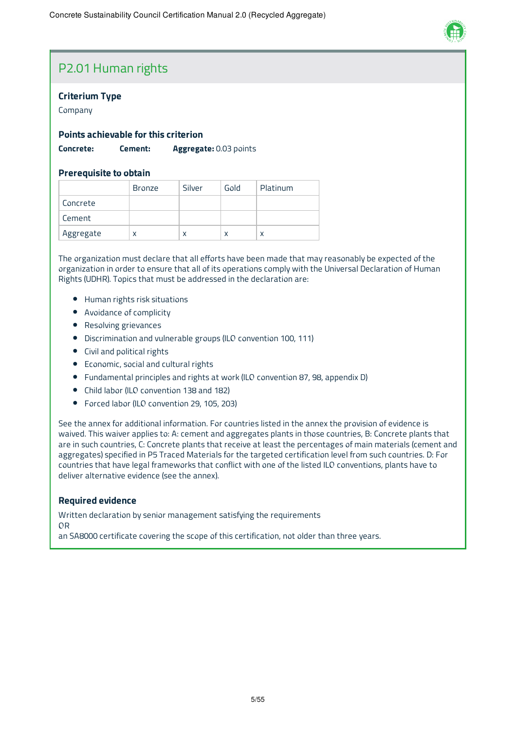

### P2.01 Human rights

#### **Criterium Type**

Company

#### **Points achievable for this criterion**

**Concrete: Cement: Aggregate:** 0.03 points

#### **Prerequisite to obtain**

|           | <b>Bronze</b> | Silver | Gold | Platinum |
|-----------|---------------|--------|------|----------|
| Concrete  |               |        |      |          |
| Cement    |               |        |      |          |
| Aggregate | х             | X      | X    |          |

The organization must declare that all efforts have been made that may reasonably be expected of the organization in order to ensure that all of its operations comply with the Universal Declaration of Human Rights (UDHR). Topics that must be addressed in the declaration are:

- Human rights risk situations
- Avoidance of complicity
- Resolving grievances
- Discrimination and vulnerable groups (ILO convention 100, 111)
- Civil and political rights
- Economic, social and cultural rights
- Fundamental principles and rights at work (ILO convention 87, 98, appendix D)
- Child labor (ILO convention 138 and 182)
- Forced labor (ILO convention 29, 105, 203)

See the annex for additional information. For countries listed in the annex the provision of evidence is waived. This waiver applies to: A: cement and aggregates plants in those countries, B: Concrete plants that are in such countries, C: Concrete plants that receive at least the percentages of main materials (cement and aggregates) specified in P5 Traced Materials for the targeted certification level from such countries. D: For countries that have legal frameworks that conflict with one of the listed ILO conventions, plants have to deliver alternative evidence (see the annex).

#### **Required evidence**

Written declaration by senior management satisfying the requirements

OR

an SA8000 certificate covering the scope of this certification, not older than three years.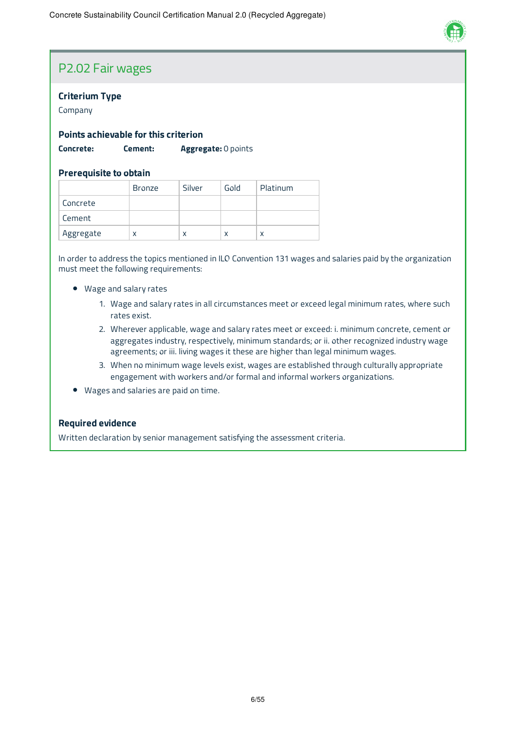

### P2.02 Fair wages

#### **Criterium Type**

Company

#### **Points achievable for this criterion**

**Concrete: Cement: Aggregate:** 0 points

#### **Prerequisite to obtain**

|           | <b>Bronze</b> | Silver | Gold | Platinum |
|-----------|---------------|--------|------|----------|
| Concrete  |               |        |      |          |
| Cement    |               |        |      |          |
| Aggregate | x             | X      | X    |          |

In order to address the topics mentioned in ILO Convention 131 wages and salaries paid by the organization must meet the following requirements:

- Wage and salary rates
	- 1. Wage and salary rates in all circumstances meet or exceed legal minimum rates, where such rates exist.
	- 2. Wherever applicable, wage and salary rates meet or exceed: i. minimum concrete, cement or aggregates industry, respectively, minimum standards; or ii. other recognized industry wage agreements; or iii. living wages it these are higher than legal minimum wages.
	- 3. When no minimum wage levels exist, wages are established through culturally appropriate engagement with workers and/or formal and informal workers organizations.
- Wages and salaries are paid on time.

#### **Required evidence**

Written declaration by senior management satisfying the assessment criteria.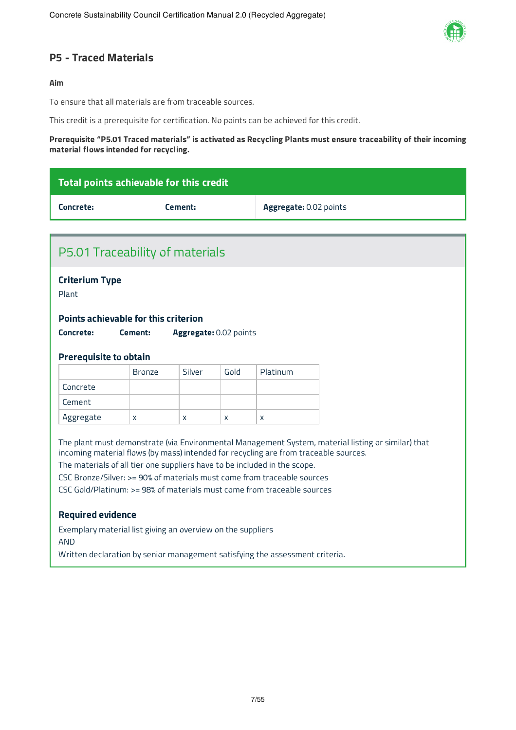

### **P5 - Traced Materials**

#### **Aim**

To ensure that all materials are from traceable sources.

This credit is a prerequisite for certification. No points can be achieved for this credit.

#### **Prerequisite "P5.01 Traced materials" is activated as Recycling Plants must ensure traceability of their incoming material flows intended for recycling.**

| Total points achievable for this credit                                              |                                                             |                        |      |                        |                                                                                                    |  |
|--------------------------------------------------------------------------------------|-------------------------------------------------------------|------------------------|------|------------------------|----------------------------------------------------------------------------------------------------|--|
| Concrete:                                                                            |                                                             | Cement:                |      | Aggregate: 0.02 points |                                                                                                    |  |
|                                                                                      |                                                             |                        |      |                        |                                                                                                    |  |
| P5.01 Traceability of materials                                                      |                                                             |                        |      |                        |                                                                                                    |  |
| <b>Criterium Type</b>                                                                |                                                             |                        |      |                        |                                                                                                    |  |
| Plant                                                                                |                                                             |                        |      |                        |                                                                                                    |  |
| Points achievable for this criterion                                                 |                                                             |                        |      |                        |                                                                                                    |  |
| Concrete:                                                                            | Cement:                                                     | Aggregate: 0.02 points |      |                        |                                                                                                    |  |
|                                                                                      |                                                             |                        |      |                        |                                                                                                    |  |
| <b>Prerequisite to obtain</b>                                                        |                                                             |                        |      |                        |                                                                                                    |  |
|                                                                                      | <b>Bronze</b>                                               | Silver                 | Gold | Platinum               |                                                                                                    |  |
| Concrete                                                                             |                                                             |                        |      |                        |                                                                                                    |  |
| Cement                                                                               |                                                             |                        |      |                        |                                                                                                    |  |
| Aggregate                                                                            | X                                                           | X                      | X    | X                      |                                                                                                    |  |
|                                                                                      |                                                             |                        |      |                        | The plant must demonstrate (via Environmental Management System, material listing or similar) that |  |
| incoming material flows (by mass) intended for recycling are from traceable sources. |                                                             |                        |      |                        |                                                                                                    |  |
| The materials of all tier one suppliers have to be included in the scope.            |                                                             |                        |      |                        |                                                                                                    |  |
| CSC Bronze/Silver: >= 90% of materials must come from traceable sources              |                                                             |                        |      |                        |                                                                                                    |  |
| CSC Gold/Platinum: >= 98% of materials must come from traceable sources              |                                                             |                        |      |                        |                                                                                                    |  |
|                                                                                      |                                                             |                        |      |                        |                                                                                                    |  |
| <b>Required evidence</b>                                                             |                                                             |                        |      |                        |                                                                                                    |  |
| <b>AND</b>                                                                           | Exemplary material list giving an overview on the suppliers |                        |      |                        |                                                                                                    |  |
| Written declaration by senior management satisfying the assessment criteria.         |                                                             |                        |      |                        |                                                                                                    |  |
|                                                                                      |                                                             |                        |      |                        |                                                                                                    |  |
|                                                                                      |                                                             |                        |      |                        |                                                                                                    |  |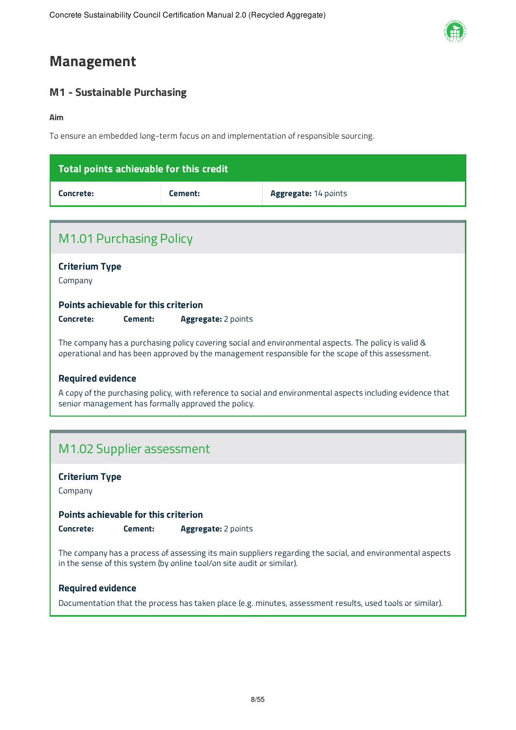

# **Management**

### **M1 - Sustainable Purchasing**

#### **Aim**

To ensure an embedded long-term focus on and implementation of responsible sourcing.

| $\,$ Total points achievable for this credit $^{\,\prime}$ |         |                             |  |  |
|------------------------------------------------------------|---------|-----------------------------|--|--|
| Concrete:                                                  | Cement: | <b>Aggregate: 14 points</b> |  |  |

| <b>M1.01 Purchasing Policy</b>                                                                                                                                                                            |  |  |  |  |  |
|-----------------------------------------------------------------------------------------------------------------------------------------------------------------------------------------------------------|--|--|--|--|--|
| <b>Criterium Type</b><br>Company                                                                                                                                                                          |  |  |  |  |  |
| <b>Points achievable for this criterion</b><br>Concrete:<br><b>Aggregate:</b> 2 points<br>Cement:                                                                                                         |  |  |  |  |  |
| The company has a purchasing policy covering social and environmental aspects. The policy is valid &<br>operational and has been approved by the management responsible for the scope of this assessment. |  |  |  |  |  |
| <b>Required evidence</b><br>A copy of the purchasing policy, with reference to social and environmental aspects including evidence that<br>senior management has formally approved the policy.            |  |  |  |  |  |
|                                                                                                                                                                                                           |  |  |  |  |  |
| M1.02 Supplier assessment                                                                                                                                                                                 |  |  |  |  |  |

**Criterium Type**

Company

**Points achievable for this criterion**

**Concrete: Cement: Aggregate:** 2 points

The company has a process of assessing its main suppliers regarding the social, and environmental aspects in the sense of this system (by online tool/on site audit or similar).

#### **Required evidence**

Documentation that the process has taken place (e.g. minutes, assessment results, used tools or similar).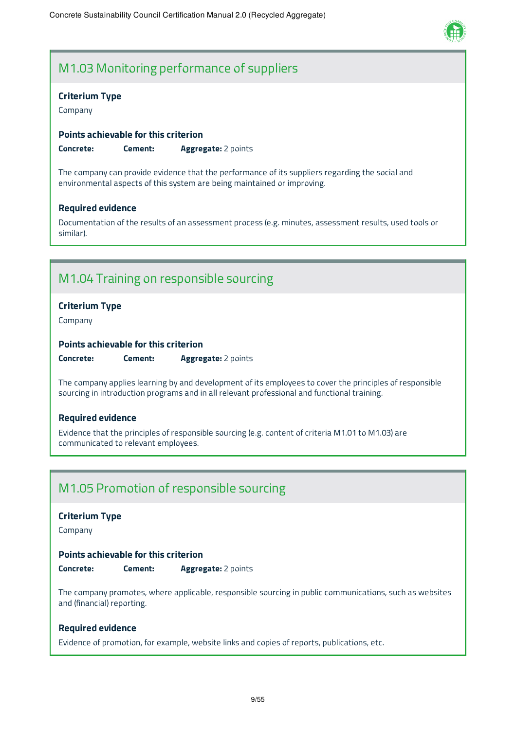

# M1.03 Monitoring performance of suppliers

#### **Criterium Type**

Company

#### **Points achievable for this criterion**

**Concrete: Cement: Aggregate:** 2 points

The company can provide evidence that the performance of its suppliers regarding the social and environmental aspects of this system are being maintained or improving.

#### **Required evidence**

Documentation of the results of an assessment process (e.g. minutes, assessment results, used tools or similar).

### M1.04 Training on responsible sourcing

#### **Criterium Type**

Company

#### **Points achievable for this criterion**

**Concrete: Cement: Aggregate:** 2 points

The company applies learning by and development of its employees to cover the principles of responsible sourcing in introduction programs and in all relevant professional and functional training.

#### **Required evidence**

Evidence that the principles of responsible sourcing (e.g. content of criteria M1.01 to M1.03) are communicated to relevant employees.

### M1.05 Promotion of responsible sourcing

#### **Criterium Type**

Company

#### **Points achievable for this criterion**

**Concrete: Cement: Aggregate:** 2 points

The company promotes, where applicable, responsible sourcing in public communications, such as websites and (financial) reporting.

#### **Required evidence**

Evidence of promotion, for example, website links and copies of reports, publications, etc.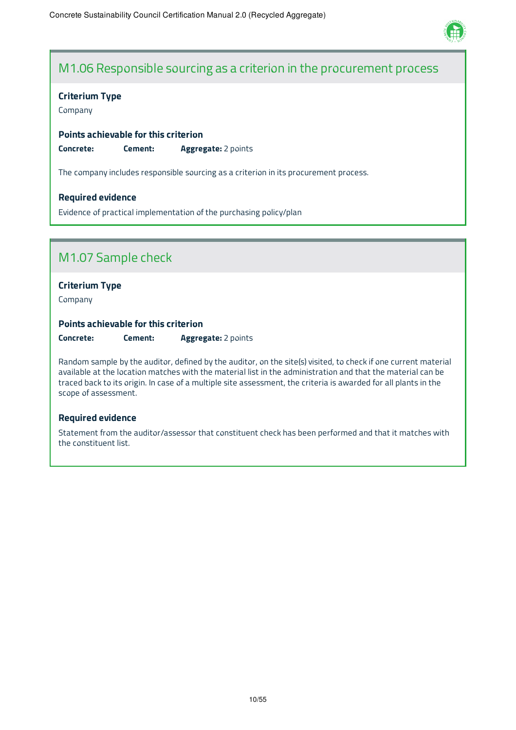

### M1.06 Responsible sourcing as a criterion in the procurement process

#### **Criterium Type**

Company

#### **Points achievable for this criterion**

**Concrete: Cement: Aggregate:** 2 points

The company includes responsible sourcing as a criterion in its procurement process.

#### **Required evidence**

Evidence of practical implementation of the purchasing policy/plan

# M1.07 Sample check

#### **Criterium Type**

Company

#### **Points achievable for this criterion**

**Concrete: Cement: Aggregate:** 2 points

Random sample by the auditor, defined by the auditor, on the site(s) visited, to check if one current material available at the location matches with the material list in the administration and that the material can be traced back to its origin. In case of a multiple site assessment, the criteria is awarded for all plants in the scope of assessment.

#### **Required evidence**

Statement from the auditor/assessor that constituent check has been performed and that it matches with the constituent list.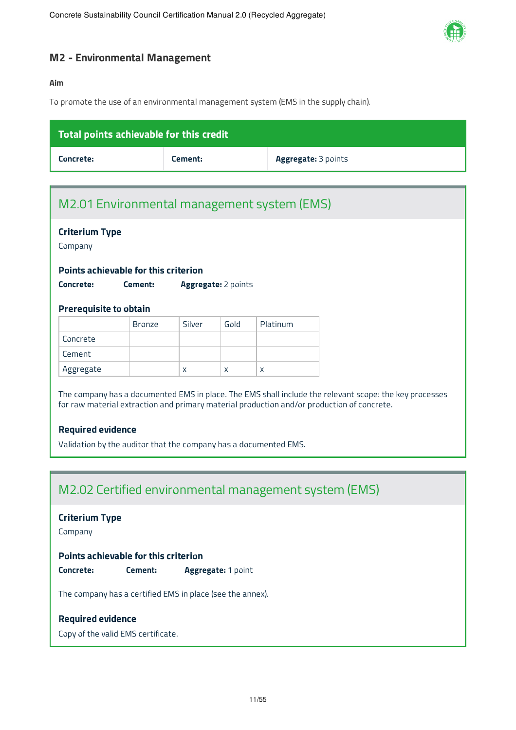

### **M2 - Environmental Management**

#### **Aim**

To promote the use of an environmental management system (EMS in the supply chain).

| Total points achievable for this credit |         |                            |  |  |
|-----------------------------------------|---------|----------------------------|--|--|
| Concrete:                               | Cement: | <b>Aggregate: 3 points</b> |  |  |

# M2.01 Environmental management system (EMS)

|                                                           | <b>Criterium Type</b><br>Company |        |                     |          |  |
|-----------------------------------------------------------|----------------------------------|--------|---------------------|----------|--|
| Points achievable for this criterion                      |                                  |        |                     |          |  |
| Concrete:                                                 | Cement:                          |        | Aggregate: 2 points |          |  |
|                                                           |                                  |        |                     |          |  |
| <b>Prerequisite to obtain</b>                             | <b>Bronze</b>                    | Silver | Gold                | Platinum |  |
| Concrete                                                  |                                  |        |                     |          |  |
| Cement                                                    |                                  |        |                     |          |  |
| Aggregate                                                 |                                  | X      | X                   | X        |  |
| M2.02 Certified environmental management system (EMS)     |                                  |        |                     |          |  |
|                                                           |                                  |        |                     |          |  |
| <b>Criterium Type</b><br>Company                          |                                  |        |                     |          |  |
| Points achievable for this criterion<br>Concrete:         | Cement:                          |        | Aggregate: 1 point  |          |  |
| The company has a certified EMS in place (see the annex). |                                  |        |                     |          |  |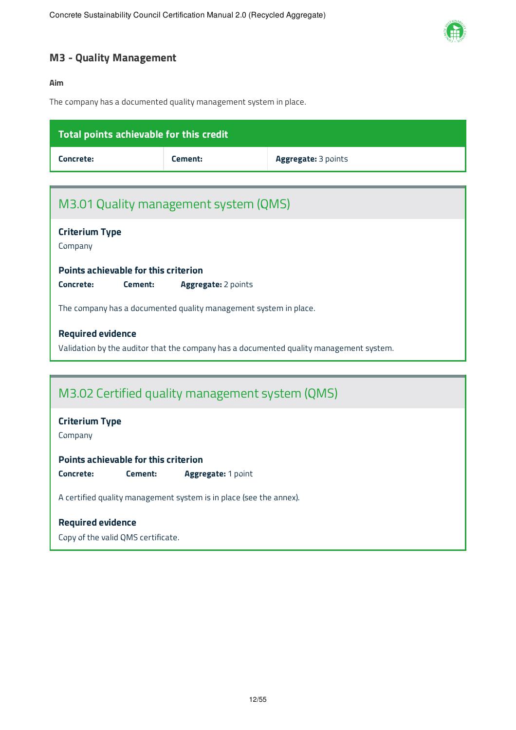

### **M3 - Quality Management**

#### **Aim**

The company has a documented quality management system in place.

| Total points achievable for this credit                            |                     |                                                                                        |  |  |  |  |
|--------------------------------------------------------------------|---------------------|----------------------------------------------------------------------------------------|--|--|--|--|
| Concrete:                                                          | Cement:             | Aggregate: 3 points                                                                    |  |  |  |  |
|                                                                    |                     |                                                                                        |  |  |  |  |
| M3.01 Quality management system (QMS)                              |                     |                                                                                        |  |  |  |  |
| <b>Criterium Type</b><br>Company                                   |                     |                                                                                        |  |  |  |  |
| <b>Points achievable for this criterion</b>                        |                     |                                                                                        |  |  |  |  |
| Concrete:<br>Cement:                                               | Aggregate: 2 points |                                                                                        |  |  |  |  |
| The company has a documented quality management system in place.   |                     |                                                                                        |  |  |  |  |
| <b>Required evidence</b>                                           |                     |                                                                                        |  |  |  |  |
|                                                                    |                     | Validation by the auditor that the company has a documented quality management system. |  |  |  |  |
|                                                                    |                     |                                                                                        |  |  |  |  |
| M3.02 Certified quality management system (QMS)                    |                     |                                                                                        |  |  |  |  |
| <b>Criterium Type</b><br>Company                                   |                     |                                                                                        |  |  |  |  |
| <b>Points achievable for this criterion</b>                        |                     |                                                                                        |  |  |  |  |
| Concrete:<br>Cement:                                               | Aggregate: 1 point  |                                                                                        |  |  |  |  |
| A certified quality management system is in place (see the annex). |                     |                                                                                        |  |  |  |  |
| <b>Required evidence</b>                                           |                     |                                                                                        |  |  |  |  |

Copy of the valid QMS certificate.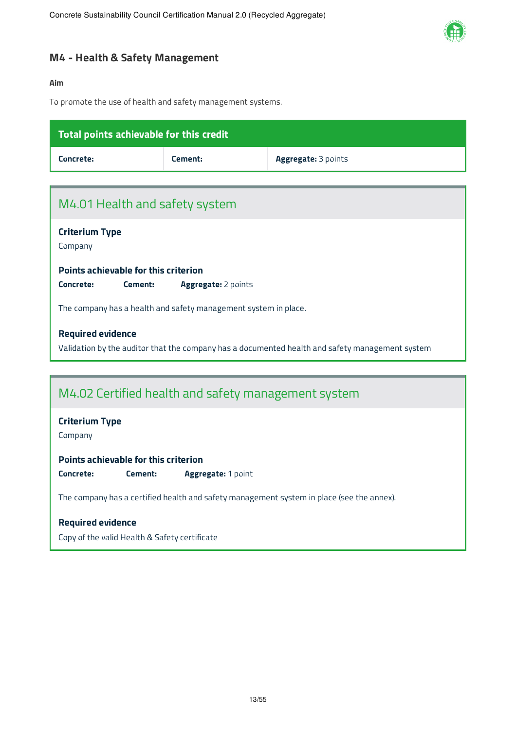

### **M4 - Health & Safety Management**

#### **Aim**

To promote the use of health and safety management systems.

| Total points achievable for this credit                                                         |                     |                     |  |  |
|-------------------------------------------------------------------------------------------------|---------------------|---------------------|--|--|
| Concrete:                                                                                       | Cement:             | Aggregate: 3 points |  |  |
|                                                                                                 |                     |                     |  |  |
| M4.01 Health and safety system                                                                  |                     |                     |  |  |
| <b>Criterium Type</b><br>Company                                                                |                     |                     |  |  |
| Points achievable for this criterion                                                            |                     |                     |  |  |
| Concrete:<br>Cement:                                                                            | Aggregate: 2 points |                     |  |  |
| The company has a health and safety management system in place.                                 |                     |                     |  |  |
| <b>Required evidence</b>                                                                        |                     |                     |  |  |
| Validation by the auditor that the company has a documented health and safety management system |                     |                     |  |  |
|                                                                                                 |                     |                     |  |  |
| M4.02 Certified health and safety management system                                             |                     |                     |  |  |
| <b>Criterium Type</b><br>Company                                                                |                     |                     |  |  |
| Points achievable for this criterion                                                            |                     |                     |  |  |
| Concrete:<br>Cement:                                                                            | Aggregate: 1 point  |                     |  |  |
| The company has a certified health and safety management system in place (see the annex).       |                     |                     |  |  |
| <b>Required evidence</b>                                                                        |                     |                     |  |  |

Copy of the valid Health & Safety certificate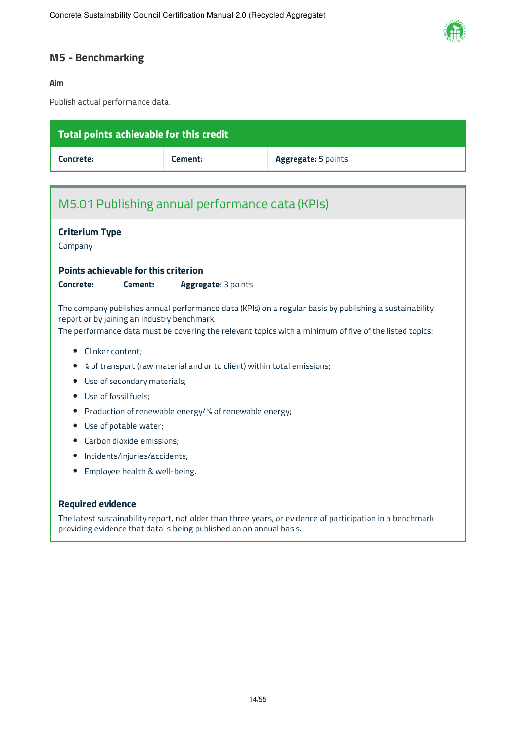

### **M5 - Benchmarking**

#### **Aim**

Publish actual performance data.

| Total points achievable for this credit                                                                                                                                          |                                                                                                                                                                                                                                                                 |                                                                        |  |  |
|----------------------------------------------------------------------------------------------------------------------------------------------------------------------------------|-----------------------------------------------------------------------------------------------------------------------------------------------------------------------------------------------------------------------------------------------------------------|------------------------------------------------------------------------|--|--|
| Concrete:                                                                                                                                                                        | Cement:                                                                                                                                                                                                                                                         | Aggregate: 5 points                                                    |  |  |
|                                                                                                                                                                                  |                                                                                                                                                                                                                                                                 |                                                                        |  |  |
| M5.01 Publishing annual performance data (KPIs)                                                                                                                                  |                                                                                                                                                                                                                                                                 |                                                                        |  |  |
| <b>Criterium Type</b>                                                                                                                                                            |                                                                                                                                                                                                                                                                 |                                                                        |  |  |
| Company                                                                                                                                                                          |                                                                                                                                                                                                                                                                 |                                                                        |  |  |
| Points achievable for this criterion                                                                                                                                             |                                                                                                                                                                                                                                                                 |                                                                        |  |  |
| Concrete:<br>Cement:                                                                                                                                                             | Aggregate: 3 points                                                                                                                                                                                                                                             |                                                                        |  |  |
|                                                                                                                                                                                  | The company publishes annual performance data (KPIs) on a regular basis by publishing a sustainability<br>report or by joining an industry benchmark.<br>The performance data must be covering the relevant topics with a minimum of five of the listed topics: |                                                                        |  |  |
| Clinker content;<br>$\bullet$                                                                                                                                                    |                                                                                                                                                                                                                                                                 |                                                                        |  |  |
|                                                                                                                                                                                  |                                                                                                                                                                                                                                                                 | % of transport (raw material and or to client) within total emissions; |  |  |
| Use of secondary materials;                                                                                                                                                      |                                                                                                                                                                                                                                                                 |                                                                        |  |  |
| Use of fossil fuels;<br>$\bullet$                                                                                                                                                |                                                                                                                                                                                                                                                                 |                                                                        |  |  |
| Production of renewable energy/ % of renewable energy;<br>$\bullet$                                                                                                              |                                                                                                                                                                                                                                                                 |                                                                        |  |  |
| Use of potable water;                                                                                                                                                            |                                                                                                                                                                                                                                                                 |                                                                        |  |  |
|                                                                                                                                                                                  | Carbon dioxide emissions;                                                                                                                                                                                                                                       |                                                                        |  |  |
| Incidents/injuries/accidents;<br>Employee health & well-being.                                                                                                                   |                                                                                                                                                                                                                                                                 |                                                                        |  |  |
|                                                                                                                                                                                  |                                                                                                                                                                                                                                                                 |                                                                        |  |  |
| <b>Required evidence</b>                                                                                                                                                         |                                                                                                                                                                                                                                                                 |                                                                        |  |  |
| The latest sustainability report, not older than three years, or evidence of participation in a benchmark<br>providing evidence that data is being published on an annual basis. |                                                                                                                                                                                                                                                                 |                                                                        |  |  |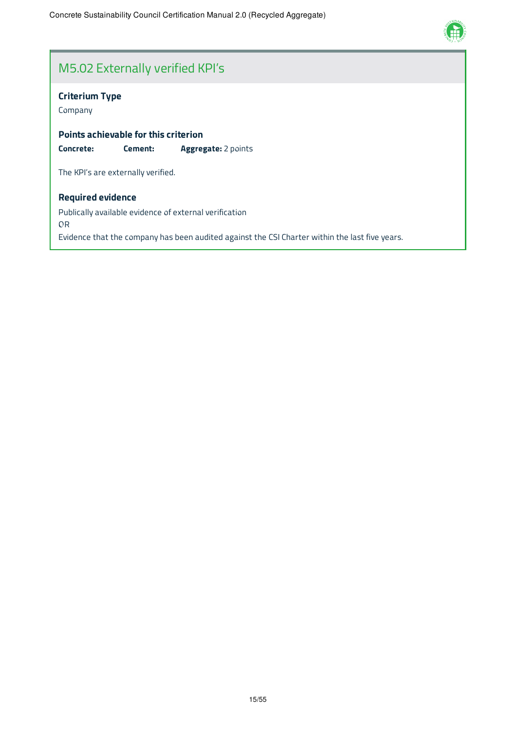

# M5.02 Externally verified KPI's

### **Criterium Type**

Company

**Points achievable for this criterion Concrete: Cement: Aggregate:** 2 points

The KPI's are externally verified.

#### **Required evidence**

Publically available evidence of external verification OR Evidence that the company has been audited against the CSI Charter within the last five years.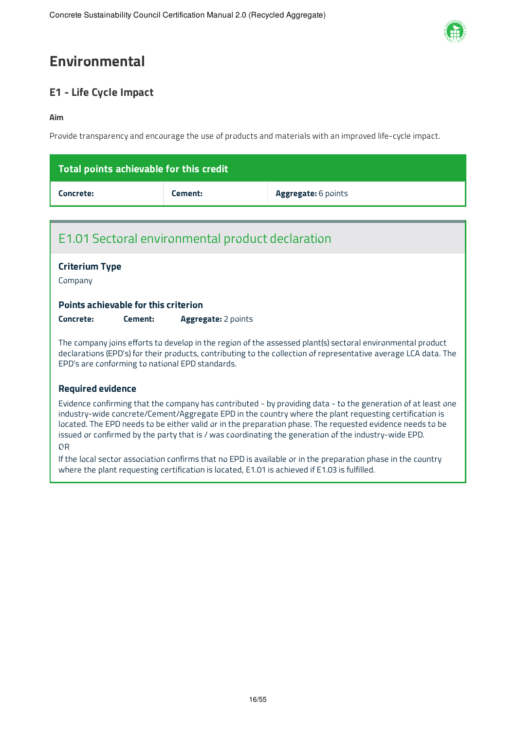

# **Environmental**

### **E1 - Life Cycle Impact**

#### **Aim**

Provide transparency and encourage the use of products and materials with an improved life-cycle impact.

| Total points achievable for this credit |         |                            |  |
|-----------------------------------------|---------|----------------------------|--|
| Concrete:                               | Cement: | <b>Aggregate:</b> 6 points |  |

### E1.01 Sectoral environmental product declaration

### **Criterium Type**

Company

#### **Points achievable for this criterion**

**Concrete: Cement: Aggregate:** 2 points

The company joins efforts to develop in the region of the assessed plant(s) sectoral environmental product declarations (EPD's) for their products, contributing to the collection of representative average LCA data. The EPD's are conforming to national EPD standards.

#### **Required evidence**

Evidence confirming that the company has contributed - by providing data - to the generation of at least one industry-wide concrete/Cement/Aggregate EPD in the country where the plant requesting certification is located. The EPD needs to be either valid or in the preparation phase. The requested evidence needs to be issued or confirmed by the party that is / was coordinating the generation of the industry-wide EPD.

#### OR

If the local sector association confirms that no EPD is available or in the preparation phase in the country where the plant requesting certification is located, E1.01 is achieved if E1.03 is fulfilled.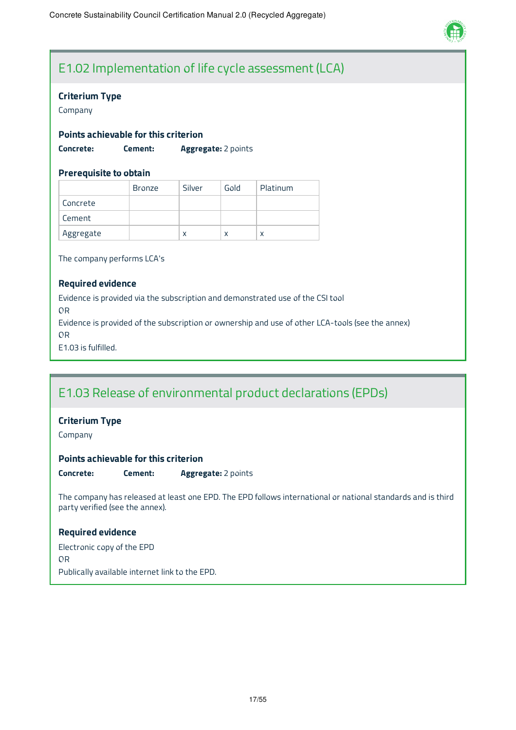

# E1.02 Implementation of life cycle assessment (LCA)

#### **Criterium Type**

Company

#### **Points achievable for this criterion**

**Concrete: Cement: Aggregate:** 2 points

#### **Prerequisite to obtain**

|           | <b>Bronze</b> | Silver | Gold | Platinum |
|-----------|---------------|--------|------|----------|
| Concrete  |               |        |      |          |
| Cement    |               |        |      |          |
| Aggregate |               | X      | X    | x        |

The company performs LCA's

#### **Required evidence**

Evidence is provided via the subscription and demonstrated use of the CSI tool OR Evidence is provided of the subscription or ownership and use of other LCA-tools (see the annex) OR E1.03 is fulfilled.

### E1.03 Release of environmental product declarations (EPDs)

#### **Criterium Type**

Company

#### **Points achievable for this criterion**

**Concrete: Cement: Aggregate:** 2 points

The company has released at least one EPD. The EPD follows international or national standards and is third party verified (see the annex).

#### **Required evidence**

Electronic copy of the EPD OR Publically available internet link to the EPD.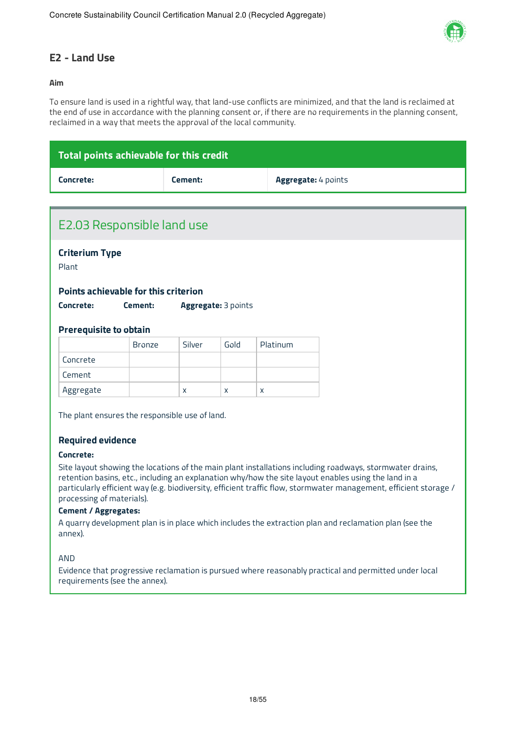

### **E2 - Land Use**

#### **Aim**

To ensure land is used in a rightful way, that land-use conflicts are minimized, and that the land is reclaimed at the end of use in accordance with the planning consent or, if there are no requirements in the planning consent, reclaimed in a way that meets the approval of the local community.

| Total points achievable for this credit |         |                            |
|-----------------------------------------|---------|----------------------------|
| Concrete:                               | Cement: | <b>Aggregate:</b> 4 points |

| E2.03 Responsible land use                                                 |               |              |                     |          |                                                                                                                                                                                                                                                                                                                                       |
|----------------------------------------------------------------------------|---------------|--------------|---------------------|----------|---------------------------------------------------------------------------------------------------------------------------------------------------------------------------------------------------------------------------------------------------------------------------------------------------------------------------------------|
| <b>Criterium Type</b><br>Plant                                             |               |              |                     |          |                                                                                                                                                                                                                                                                                                                                       |
|                                                                            |               |              |                     |          |                                                                                                                                                                                                                                                                                                                                       |
| Points achievable for this criterion                                       |               |              |                     |          |                                                                                                                                                                                                                                                                                                                                       |
| Concrete:                                                                  | Cement:       |              | Aggregate: 3 points |          |                                                                                                                                                                                                                                                                                                                                       |
| <b>Prerequisite to obtain</b>                                              |               |              |                     |          |                                                                                                                                                                                                                                                                                                                                       |
|                                                                            | <b>Bronze</b> | Silver       | Gold                | Platinum |                                                                                                                                                                                                                                                                                                                                       |
| Concrete                                                                   |               |              |                     |          |                                                                                                                                                                                                                                                                                                                                       |
| Cement                                                                     |               |              |                     |          |                                                                                                                                                                                                                                                                                                                                       |
| Aggregate                                                                  |               | $\mathsf{X}$ | X                   | X        |                                                                                                                                                                                                                                                                                                                                       |
| The plant ensures the responsible use of land.<br><b>Required evidence</b> |               |              |                     |          |                                                                                                                                                                                                                                                                                                                                       |
| Concrete:                                                                  |               |              |                     |          |                                                                                                                                                                                                                                                                                                                                       |
| processing of materials).<br><b>Cement / Aggregates:</b>                   |               |              |                     |          | Site layout showing the locations of the main plant installations including roadways, stormwater drains,<br>retention basins, etc., including an explanation why/how the site layout enables using the land in a<br>particularly efficient way (e.g. biodiversity, efficient traffic flow, stormwater management, efficient storage / |

A quarry development plan is in place which includes the extraction plan and reclamation plan (see the annex).

AND

Evidence that progressive reclamation is pursued where reasonably practical and permitted under local requirements (see the annex).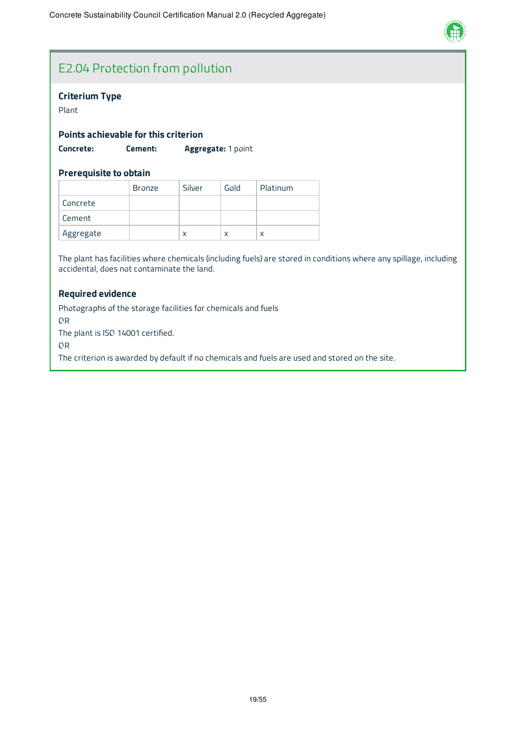

# E2.04 Protection from pollution

#### **Criterium Type**

Plant

#### **Points achievable for this criterion**

**Concrete: Cement: Aggregate:** 1 point

#### **Prerequisite to obtain**

|           | <b>Bronze</b> | Silver | Gold | Platinum |
|-----------|---------------|--------|------|----------|
| Concrete  |               |        |      |          |
| Cement    |               |        |      |          |
| Aggregate |               | x      |      |          |

The plant has facilities where chemicals (including fuels) are stored in conditions where any spillage, including accidental, does not contaminate the land.

#### **Required evidence**

Photographs of the storage facilities for chemicals and fuels OR The plant is ISO 14001 certified. OR

The criterion is awarded by default if no chemicals and fuels are used and stored on the site.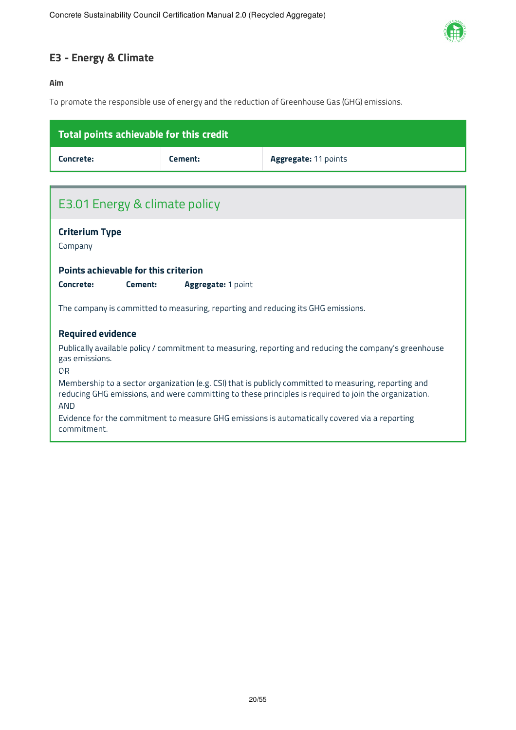

### **E3 - Energy & Climate**

#### **Aim**

To promote the responsible use of energy and the reduction of Greenhouse Gas (GHG) emissions.

| Total points achievable for this credit                                                                                                                                                                               |                                                                                               |                      |  |  |  |
|-----------------------------------------------------------------------------------------------------------------------------------------------------------------------------------------------------------------------|-----------------------------------------------------------------------------------------------|----------------------|--|--|--|
| Concrete:                                                                                                                                                                                                             | Cement:                                                                                       | Aggregate: 11 points |  |  |  |
|                                                                                                                                                                                                                       |                                                                                               |                      |  |  |  |
| E3.01 Energy & climate policy                                                                                                                                                                                         |                                                                                               |                      |  |  |  |
| <b>Criterium Type</b><br>Company                                                                                                                                                                                      |                                                                                               |                      |  |  |  |
| Points achievable for this criterion                                                                                                                                                                                  |                                                                                               |                      |  |  |  |
| Concrete:<br>Cement:<br><b>Aggregate: 1 point</b>                                                                                                                                                                     |                                                                                               |                      |  |  |  |
| The company is committed to measuring, reporting and reducing its GHG emissions.                                                                                                                                      |                                                                                               |                      |  |  |  |
| <b>Required evidence</b>                                                                                                                                                                                              |                                                                                               |                      |  |  |  |
| Publically available policy / commitment to measuring, reporting and reducing the company's greenhouse<br>gas emissions.<br>0 <sub>R</sub>                                                                            |                                                                                               |                      |  |  |  |
| Membership to a sector organization (e.g. CSI) that is publicly committed to measuring, reporting and<br>reducing GHG emissions, and were committing to these principles is required to join the organization.<br>AND |                                                                                               |                      |  |  |  |
| commitment.                                                                                                                                                                                                           | Evidence for the commitment to measure GHG emissions is automatically covered via a reporting |                      |  |  |  |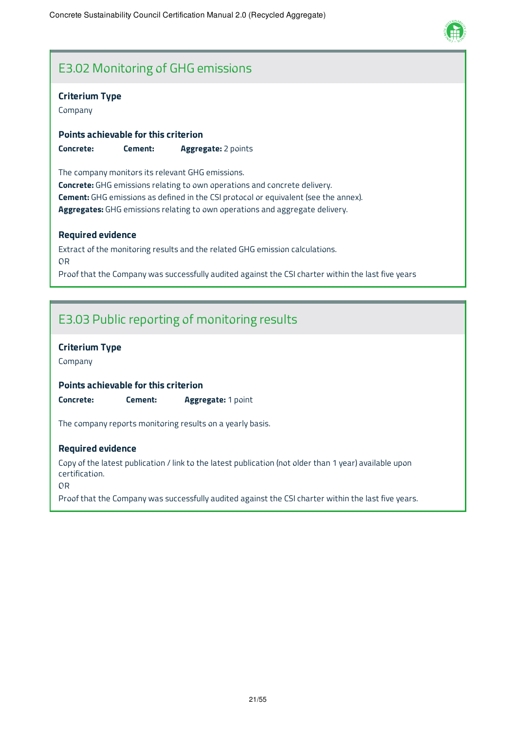

### E3.02 Monitoring of GHG emissions

#### **Criterium Type**

Company

**Points achievable for this criterion Concrete: Cement: Aggregate:** 2 points

The company monitors its relevant GHG emissions. **Concrete:** GHG emissions relating to own operations and concrete delivery. **Cement:** GHG emissions as defined in the CSI protocol or equivalent (see the annex). **Aggregates:** GHG emissions relating to own operations and aggregate delivery.

#### **Required evidence**

Extract of the monitoring results and the related GHG emission calculations. OR Proof that the Company was successfully audited against the CSI charter within the last five years

### E3.03 Public reporting of monitoring results

#### **Criterium Type**

Company

#### **Points achievable for this criterion**

**Concrete: Cement: Aggregate:** 1 point

The company reports monitoring results on a yearly basis.

#### **Required evidence**

Copy of the latest publication / link to the latest publication (not older than 1 year) available upon certification.

OR

Proof that the Company was successfully audited against the CSI charter within the last five years.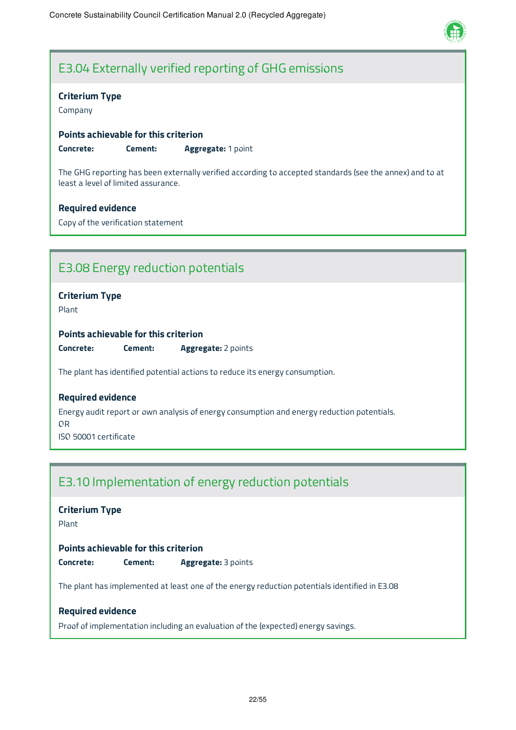

### E3.04 Externally verified reporting of GHG emissions

#### **Criterium Type**

Company

#### **Points achievable for this criterion**

**Concrete: Cement: Aggregate:** 1 point

The GHG reporting has been externally verified according to accepted standards (see the annex) and to at least a level of limited assurance.

#### **Required evidence**

Copy of the verification statement

### E3.08 Energy reduction potentials

#### **Criterium Type**

Plant

#### **Points achievable for this criterion**

**Concrete: Cement: Aggregate:** 2 points

The plant has identified potential actions to reduce its energy consumption.

#### **Required evidence**

Energy audit report or own analysis of energy consumption and energy reduction potentials. OR

ISO 50001 certificate

### E3.10 Implementation of energy reduction potentials

### **Criterium Type**

Plant

#### **Points achievable for this criterion**

**Concrete: Cement: Aggregate:** 3 points

The plant has implemented at least one of the energy reduction potentials identified in E3.08

#### **Required evidence**

Proof of implementation including an evaluation of the (expected) energy savings.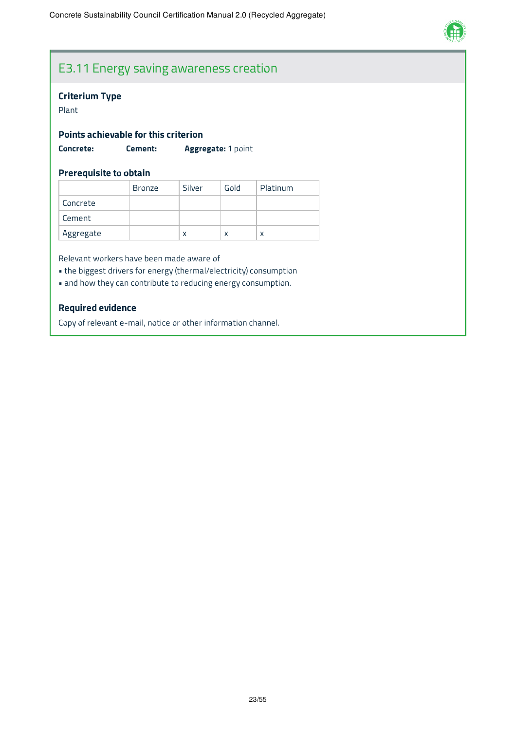

### E3.11 Energy saving awareness creation

#### **Criterium Type**

#### Plant

#### **Points achievable for this criterion**

**Concrete: Cement: Aggregate:** 1 point

#### **Prerequisite to obtain**

|           | Bronze | Silver | Gold | Platinum |
|-----------|--------|--------|------|----------|
| Concrete  |        |        |      |          |
| Cement    |        |        |      |          |
| Aggregate |        | x      | x    | x        |

Relevant workers have been made aware of

- the biggest drivers for energy (thermal/electricity) consumption
- and how they can contribute to reducing energy consumption.

#### **Required evidence**

Copy of relevant e-mail, notice or other information channel.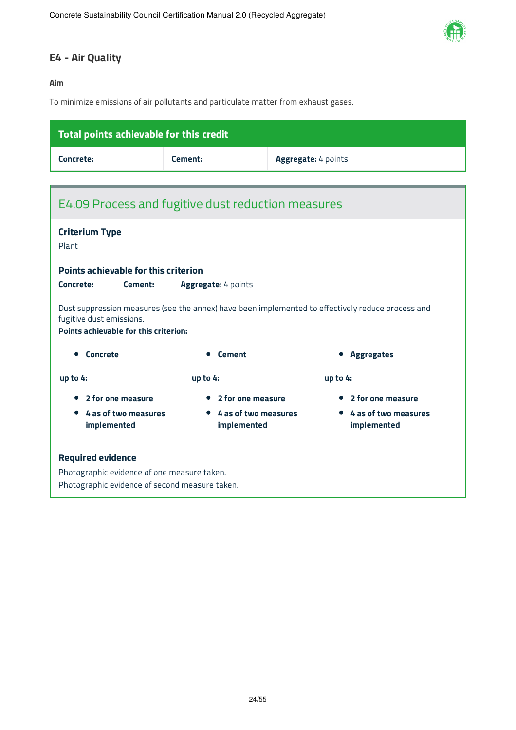

### **E4 - Air Quality**

#### **Aim**

To minimize emissions of air pollutants and particulate matter from exhaust gases.

| Total points achievable for this credit                                                           |                     |                     |  |  |
|---------------------------------------------------------------------------------------------------|---------------------|---------------------|--|--|
| Concrete:                                                                                         | Cement:             | Aggregate: 4 points |  |  |
|                                                                                                   |                     |                     |  |  |
| E4.09 Process and fugitive dust reduction measures                                                |                     |                     |  |  |
| <b>Criterium Type</b><br>Plant                                                                    |                     |                     |  |  |
| Points achievable for this criterion                                                              |                     |                     |  |  |
| Concrete:<br>Cement:                                                                              | Aggregate: 4 points |                     |  |  |
| Dust suppression measures (see the annex) have been implemented to effectively reduce process and |                     |                     |  |  |

st suppression measures (see the annex) have been implemented to effectively reduce process and fugitive dust emissions.

**Points achievable for this criterion:**

| Concrete<br>$\bullet$                 | <b>Cement</b>                                    | <b>Aggregates</b>                   |
|---------------------------------------|--------------------------------------------------|-------------------------------------|
| up to $4:$                            | up to $4:$                                       | up to $4:$                          |
| • 2 for one measure                   | • 2 for one measure                              | • 2 for one measure                 |
| • 4 as of two measures<br>implemented | 4 as of two measures<br>$\bullet$<br>implemented | 4 as of two measures<br>implemented |
| <b>Doguized ovidonce</b>              |                                                  |                                     |

**Required evidence**

Photographic evidence of one measure taken. Photographic evidence of second measure taken.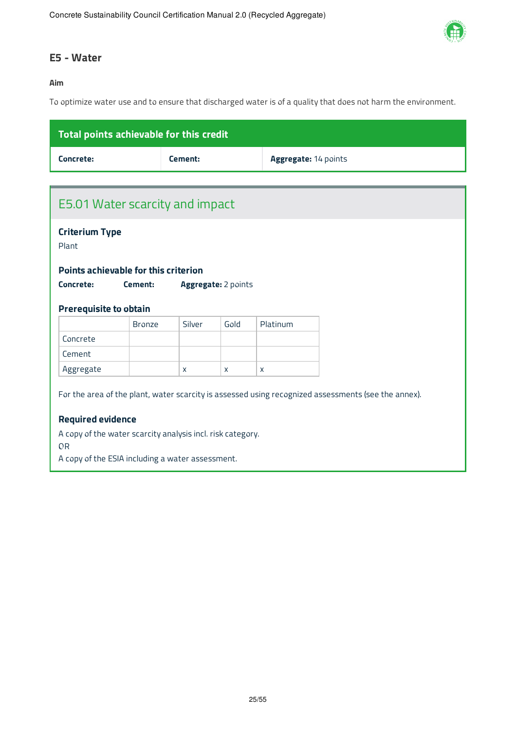

### **E5 - Water**

#### **Aim**

To optimize water use and to ensure that discharged water is of a quality that does not harm the environment.

| Total points achievable for this credit |         |                             |
|-----------------------------------------|---------|-----------------------------|
| Concrete:                               | Cement: | <b>Aggregate: 14 points</b> |

| E5.01 Water scarcity and impact<br><b>Criterium Type</b><br>Points achievable for this criterion<br>Cement:<br><b>Aggregate:</b> 2 points<br><b>Prerequisite to obtain</b><br>Silver<br>Gold<br>Platinum<br><b>Bronze</b><br>X<br>$\mathsf{X}$<br>X<br>For the area of the plant, water scarcity is assessed using recognized assessments (see the annex).<br><b>Required evidence</b><br>A copy of the water scarcity analysis incl. risk category.<br>A copy of the ESIA including a water assessment. |           |  |  |  |
|----------------------------------------------------------------------------------------------------------------------------------------------------------------------------------------------------------------------------------------------------------------------------------------------------------------------------------------------------------------------------------------------------------------------------------------------------------------------------------------------------------|-----------|--|--|--|
|                                                                                                                                                                                                                                                                                                                                                                                                                                                                                                          |           |  |  |  |
|                                                                                                                                                                                                                                                                                                                                                                                                                                                                                                          |           |  |  |  |
|                                                                                                                                                                                                                                                                                                                                                                                                                                                                                                          | Plant     |  |  |  |
|                                                                                                                                                                                                                                                                                                                                                                                                                                                                                                          |           |  |  |  |
|                                                                                                                                                                                                                                                                                                                                                                                                                                                                                                          |           |  |  |  |
|                                                                                                                                                                                                                                                                                                                                                                                                                                                                                                          | Concrete: |  |  |  |
|                                                                                                                                                                                                                                                                                                                                                                                                                                                                                                          |           |  |  |  |
|                                                                                                                                                                                                                                                                                                                                                                                                                                                                                                          |           |  |  |  |
|                                                                                                                                                                                                                                                                                                                                                                                                                                                                                                          |           |  |  |  |
|                                                                                                                                                                                                                                                                                                                                                                                                                                                                                                          | Concrete  |  |  |  |
|                                                                                                                                                                                                                                                                                                                                                                                                                                                                                                          | Cement    |  |  |  |
|                                                                                                                                                                                                                                                                                                                                                                                                                                                                                                          | Aggregate |  |  |  |
|                                                                                                                                                                                                                                                                                                                                                                                                                                                                                                          |           |  |  |  |
|                                                                                                                                                                                                                                                                                                                                                                                                                                                                                                          |           |  |  |  |
|                                                                                                                                                                                                                                                                                                                                                                                                                                                                                                          |           |  |  |  |
|                                                                                                                                                                                                                                                                                                                                                                                                                                                                                                          |           |  |  |  |
|                                                                                                                                                                                                                                                                                                                                                                                                                                                                                                          | <b>OR</b> |  |  |  |
|                                                                                                                                                                                                                                                                                                                                                                                                                                                                                                          |           |  |  |  |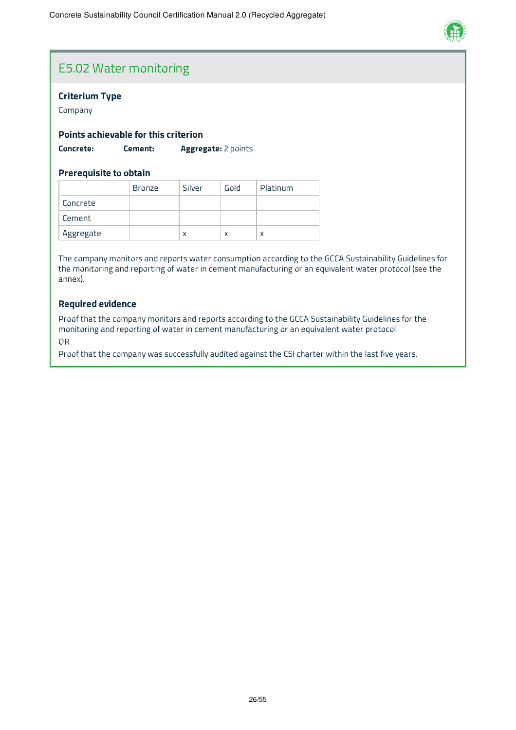

### E5.02 Water monitoring

#### **Criterium Type**

Company

#### **Points achievable for this criterion**

**Concrete: Cement: Aggregate:** 2 points

#### **Prerequisite to obtain**

|           | <b>Bronze</b> | Silver | Gold | Platinum |
|-----------|---------------|--------|------|----------|
| Concrete  |               |        |      |          |
| Cement    |               |        |      |          |
| Aggregate |               | X      |      |          |

The company monitors and reports water consumption according to the GCCA Sustainability Guidelines for the monitoring and reporting of water in cement manufacturing or an equivalent water protocol (see the annex).

#### **Required evidence**

Proof that the company monitors and reports according to the GCCA Sustainability Guidelines for the monitoring and reporting of water in cement manufacturing or an equivalent water protocol

OR

Proof that the company was successfully audited against the CSI charter within the last five years.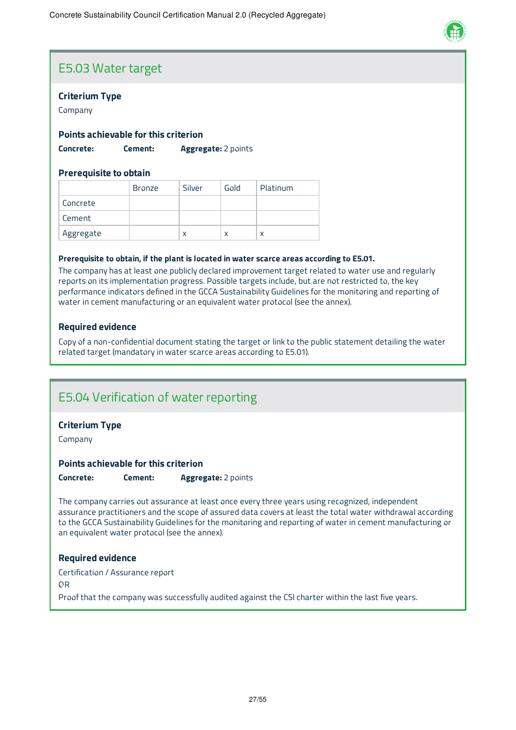

### E5.03 Water target

#### **Criterium Type**

Company

#### **Points achievable for this criterion**

**Concrete: Cement: Aggregate:** 2 points

#### **Prerequisite to obtain**

|           | <b>Bronze</b> | Silver | Gold | Platinum |
|-----------|---------------|--------|------|----------|
| Concrete  |               |        |      |          |
| Cement    |               |        |      |          |
| Aggregate |               | x      | X    |          |

#### **Prerequisite to obtain, if the plant is located in water scarce areas according to E5.01.**

The company has at least one publicly declared improvement target related to water use and regularly reports on its implementation progress. Possible targets include, but are not restricted to, the key performance indicators defined in the GCCA Sustainability Guidelines for the monitoring and reporting of water in cement manufacturing or an equivalent water protocol (see the annex).

#### **Required evidence**

Copy of a non-confidential document stating the target or link to the public statement detailing the water related target (mandatory in water scarce areas according to E5.01).

### E5.04 Verification of water reporting

#### **Criterium Type**

Company

#### **Points achievable for this criterion**

**Concrete: Cement: Aggregate:** 2 points

The company carries out assurance at least once every three years using recognized, independent assurance practitioners and the scope of assured data covers at least the total water withdrawal according to the GCCA Sustainability Guidelines for the monitoring and reporting of water in cement manufacturing or an equivalent water protocol (see the annex).

#### **Required evidence**

Certification / Assurance report OR Proof that the company was successfully audited against the CSI charter within the last five years.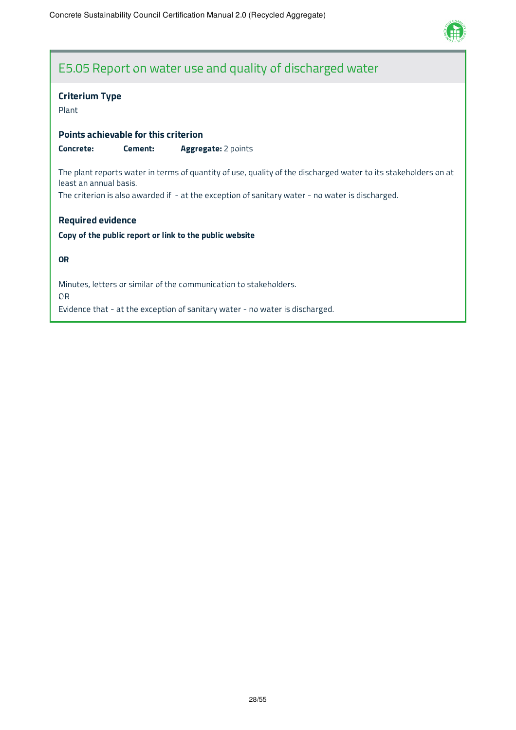

### E5.05 Report on water use and quality of discharged water

### **Criterium Type**

#### Plant

#### **Points achievable for this criterion**

**Concrete: Cement: Aggregate:** 2 points

The plant reports water in terms of quantity of use, quality of the discharged water to its stakeholders on at least an annual basis.

The criterion is also awarded if - at the exception of sanitary water - no water is discharged.

#### **Required evidence**

#### **Copy of the public report or link to the public website**

#### **OR**

Minutes, letters or similar of the communication to stakeholders. OR Evidence that - at the exception of sanitary water - no water is discharged.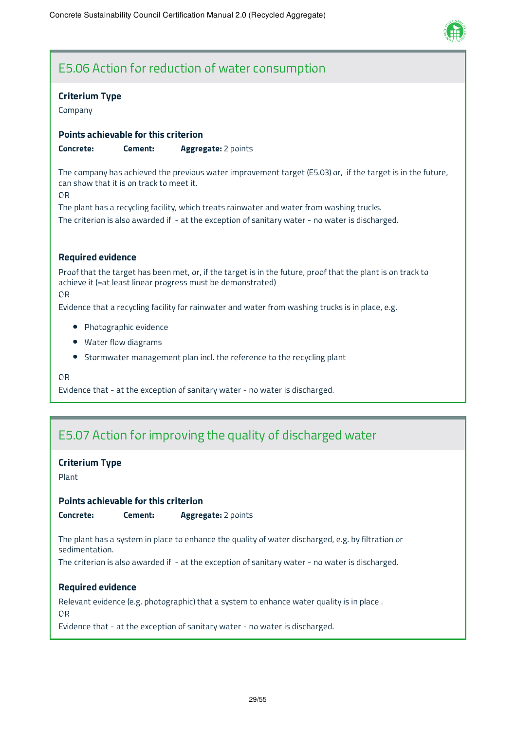

# E5.06 Action for reduction of water consumption

#### **Criterium Type**

Company

#### **Points achievable for this criterion**

**Concrete: Cement: Aggregate:** 2 points

The company has achieved the previous water improvement target (E5.03) or, if the target is in the future, can show that it is on track to meet it.

OR

The plant has a recycling facility, which treats rainwater and water from washing trucks. The criterion is also awarded if - at the exception of sanitary water - no water is discharged.

#### **Required evidence**

Proof that the target has been met, or, if the target is in the future, proof that the plant is on track to achieve it (=at least linear progress must be demonstrated) OR

Evidence that a recycling facility for rainwater and water from washing trucks is in place, e.g.

- Photographic evidence
- Water flow diagrams
- Stormwater management plan incl. the reference to the recycling plant

OR

Evidence that - at the exception of sanitary water - no water is discharged.

### E5.07 Action for improving the quality of discharged water

#### **Criterium Type**

Plant

#### **Points achievable for this criterion**

**Concrete: Cement: Aggregate:** 2 points

The plant has a system in place to enhance the quality of water discharged, e.g. by filtration or sedimentation.

The criterion is also awarded if - at the exception of sanitary water - no water is discharged.

#### **Required evidence**

Relevant evidence (e.g. photographic) that a system to enhance water quality is in place .

OR

Evidence that - at the exception of sanitary water - no water is discharged.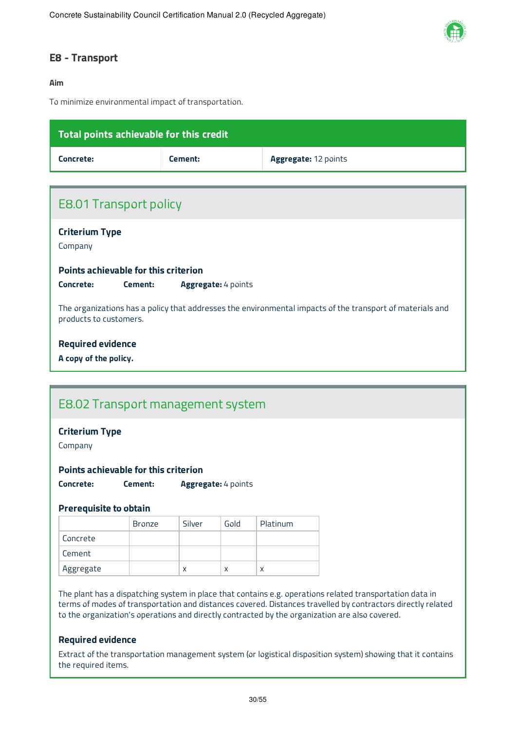

#### **E8 - Transport**

#### **Aim**

To minimize environmental impact of transportation.

| Total points achievable for this credit |                                                                                                           |                      |  |  |  |  |
|-----------------------------------------|-----------------------------------------------------------------------------------------------------------|----------------------|--|--|--|--|
| Concrete:                               | Cement:                                                                                                   | Aggregate: 12 points |  |  |  |  |
|                                         |                                                                                                           |                      |  |  |  |  |
| <b>E8.01 Transport policy</b>           |                                                                                                           |                      |  |  |  |  |
| <b>Criterium Type</b><br>Company        |                                                                                                           |                      |  |  |  |  |
| Points achievable for this criterion    |                                                                                                           |                      |  |  |  |  |
| Concrete:<br>Cement:                    | Aggregate: 4 points                                                                                       |                      |  |  |  |  |
| products to customers.                  | The organizations has a policy that addresses the environmental impacts of the transport of materials and |                      |  |  |  |  |
| <b>Required evidence</b>                |                                                                                                           |                      |  |  |  |  |
| A copy of the policy.                   |                                                                                                           |                      |  |  |  |  |
|                                         |                                                                                                           |                      |  |  |  |  |
| E8.02 Transport management system       |                                                                                                           |                      |  |  |  |  |
| <b>Criterium Type</b>                   |                                                                                                           |                      |  |  |  |  |

Company

**Points achievable for this criterion**

**Concrete: Cement: Aggregate:** 4 points

#### **Prerequisite to obtain**

|           | <b>Bronze</b> | Silver | Gold | Platinum |
|-----------|---------------|--------|------|----------|
| Concrete  |               |        |      |          |
| Cement    |               |        |      |          |
| Aggregate |               | X      | x    |          |

The plant has a dispatching system in place that contains e.g. operations related transportation data in terms of modes of transportation and distances covered. Distances travelled by contractors directly related to the organization's operations and directly contracted by the organization are also covered.

#### **Required evidence**

Extract of the transportation management system (or logistical disposition system) showing that it contains the required items.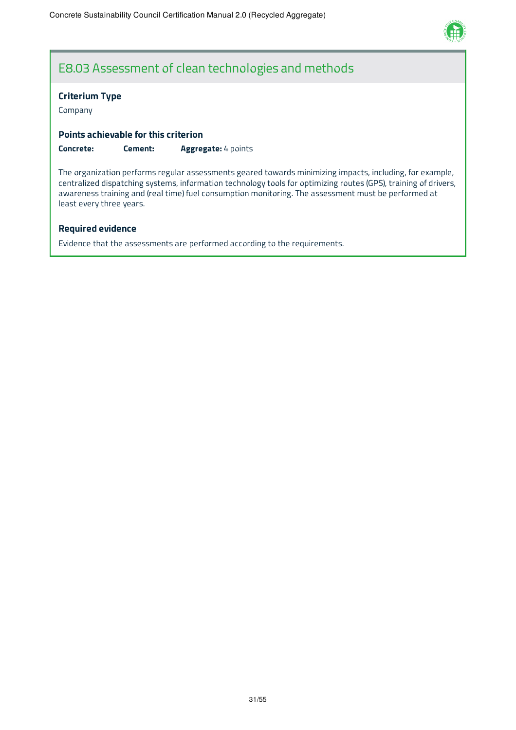

### E8.03 Assessment of clean technologies and methods

#### **Criterium Type**

Company

#### **Points achievable for this criterion**

**Concrete: Cement: Aggregate:** 4 points

The organization performs regular assessments geared towards minimizing impacts, including, for example, centralized dispatching systems, information technology tools for optimizing routes (GPS), training of drivers, awareness training and (real time) fuel consumption monitoring. The assessment must be performed at least every three years.

#### **Required evidence**

Evidence that the assessments are performed according to the requirements.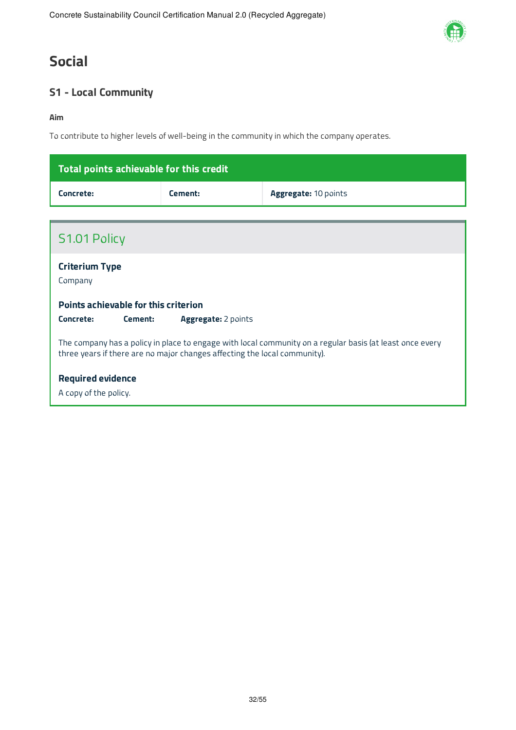# **Social**

### **S1 - Local Community**

#### **Aim**

To contribute to higher levels of well-being in the community in which the company operates.

| Total points achievable for this credit |         |                             |
|-----------------------------------------|---------|-----------------------------|
| Concrete:                               | Cement: | <b>Aggregate: 10 points</b> |

| S1.01 Policy                                                                                                                                                                          |
|---------------------------------------------------------------------------------------------------------------------------------------------------------------------------------------|
| <b>Criterium Type</b><br>Company                                                                                                                                                      |
| Points achievable for this criterion<br>Concrete:<br>Aggregate: 2 points<br>Cement:                                                                                                   |
| The company has a policy in place to engage with local community on a regular basis (at least once every<br>three years if there are no major changes affecting the local community). |
| <b>Required evidence</b><br>A copy of the policy.                                                                                                                                     |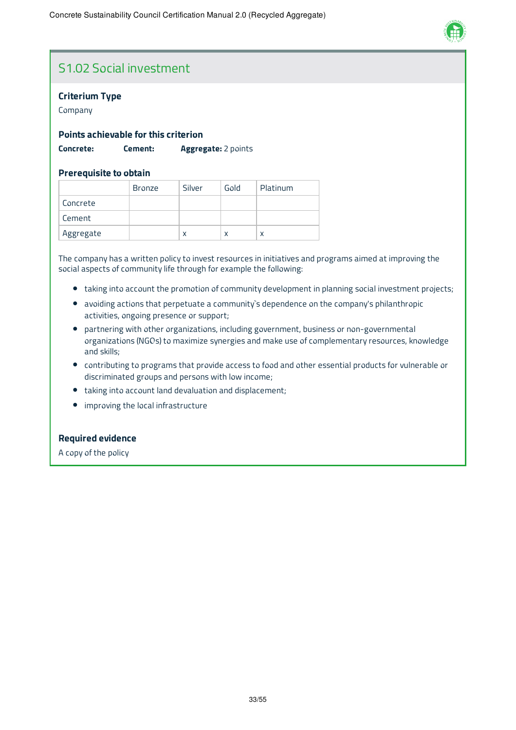

# S1.02 Social investment

#### **Criterium Type**

Company

#### **Points achievable for this criterion**

**Concrete: Cement: Aggregate:** 2 points

#### **Prerequisite to obtain**

|           | <b>Bronze</b> | Silver | Gold | Platinum |
|-----------|---------------|--------|------|----------|
| Concrete  |               |        |      |          |
| Cement    |               |        |      |          |
| Aggregate |               | X      | x    |          |

The company has a written policy to invest resources in initiatives and programs aimed at improving the social aspects of community life through for example the following:

- taking into account the promotion of community development in planning social investment projects;
- avoiding actions that perpetuate a community`s dependence on the company's philanthropic activities, ongoing presence or support;
- partnering with other organizations, including government, business or non-governmental organizations (NGOs) to maximize synergies and make use of complementary resources, knowledge and skills;
- contributing to programs that provide access to food and other essential products for vulnerable or discriminated groups and persons with low income;
- taking into account land devaluation and displacement;
- improving the local infrastructure  $\bullet$

#### **Required evidence**

A copy of the policy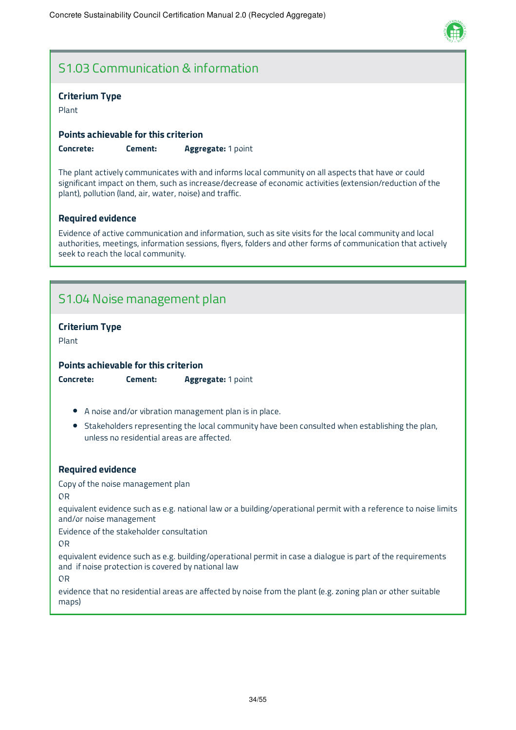

### S1.03 Communication & information

#### **Criterium Type**

Plant

**Points achievable for this criterion**

**Concrete: Cement: Aggregate:** 1 point

The plant actively communicates with and informs local community on all aspects that have or could significant impact on them, such as increase/decrease of economic activities (extension/reduction of the plant), pollution (land, air, water, noise) and traffic.

#### **Required evidence**

Evidence of active communication and information, such as site visits for the local community and local authorities, meetings, information sessions, flyers, folders and other forms of communication that actively seek to reach the local community.

### S1.04 Noise management plan

#### **Criterium Type**

Plant

**Points achievable for this criterion**

**Concrete: Cement: Aggregate:** 1 point

- A noise and/or vibration management plan is in place.
- Stakeholders representing the local community have been consulted when establishing the plan, unless no residential areas are affected.

#### **Required evidence**

Copy of the noise management plan

OR

equivalent evidence such as e.g. national law or a building/operational permit with a reference to noise limits and/or noise management

Evidence of the stakeholder consultation

OR

equivalent evidence such as e.g. building/operational permit in case a dialogue is part of the requirements and if noise protection is covered by national law

OR

evidence that no residential areas are affected by noise from the plant (e.g. zoning plan or other suitable maps)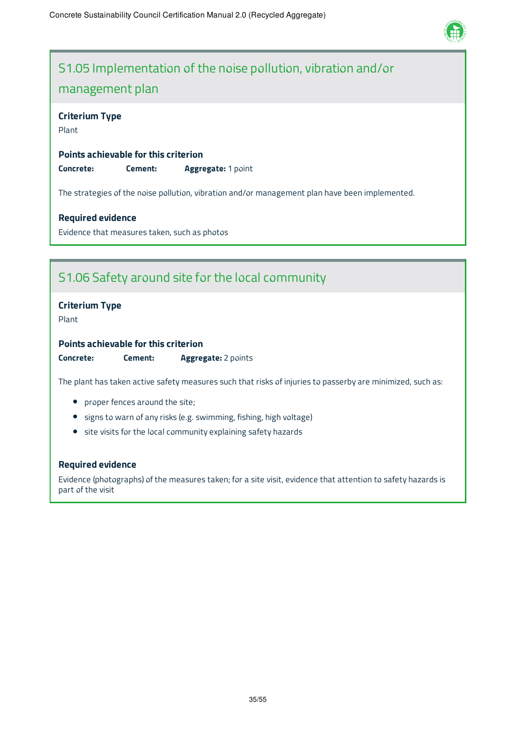

# S1.05 Implementation of the noise pollution, vibration and/or management plan

#### **Criterium Type**

Plant

**Points achievable for this criterion Concrete: Cement: Aggregate:** 1 point

The strategies of the noise pollution, vibration and/or management plan have been implemented.

#### **Required evidence**

Evidence that measures taken, such as photos

### S1.06 Safety around site for the local community

#### **Criterium Type**

Plant

#### **Points achievable for this criterion**

**Concrete: Cement: Aggregate:** 2 points

The plant has taken active safety measures such that risks of injuries to passerby are minimized, such as:

- proper fences around the site;
- **•** signs to warn of any risks (e.g. swimming, fishing, high voltage)
- site visits for the local community explaining safety hazards

#### **Required evidence**

Evidence (photographs) of the measures taken; for a site visit, evidence that attention to safety hazards is part of the visit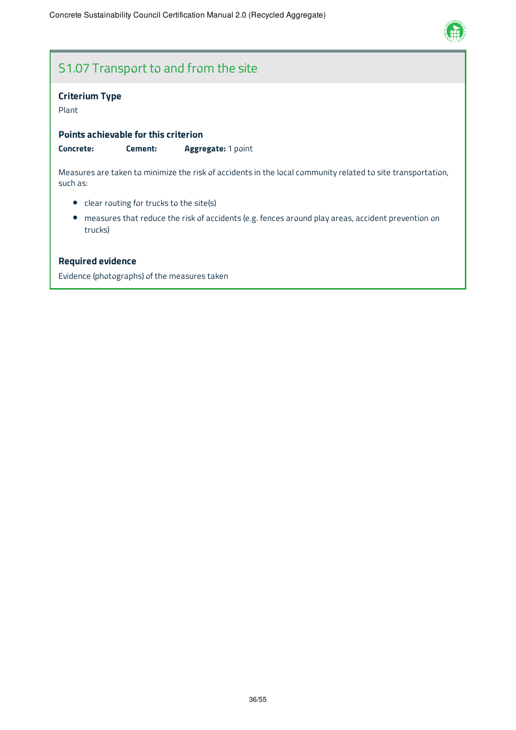

# S1.07 Transport to and from the site

#### **Criterium Type**

Plant

**Points achievable for this criterion**

**Concrete: Cement: Aggregate:** 1 point

Measures are taken to minimize the risk of accidents in the local community related to site transportation, such as:

- clear routing for trucks to the site(s)
- measures that reduce the risk of accidents (e.g. fences around play areas, accident prevention on trucks)

#### **Required evidence**

Evidence (photographs) of the measures taken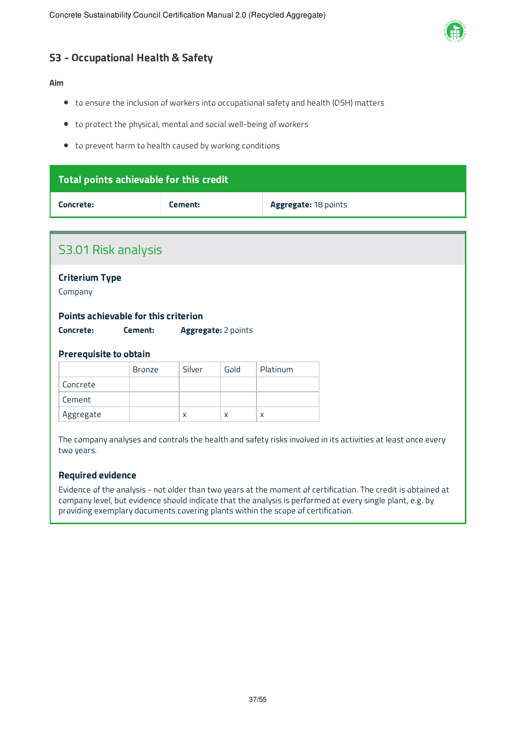

### **S3 - Occupational Health & Safety**

#### **Aim**

- to ensure the inclusion of workers into occupational safety and health (OSH) matters
- to protect the physical, mental and social well-being of workers
- to prevent harm to health caused by working conditions

| Total points achievable for this credit |         |                             |
|-----------------------------------------|---------|-----------------------------|
| Concrete:                               | Cement: | <b>Aggregate: 18 points</b> |

|                                  | <b>S3.01 Risk analysis</b>           |        |                     |          |  |  |  |
|----------------------------------|--------------------------------------|--------|---------------------|----------|--|--|--|
| <b>Criterium Type</b><br>Company |                                      |        |                     |          |  |  |  |
|                                  | Points achievable for this criterion |        |                     |          |  |  |  |
|                                  |                                      |        |                     |          |  |  |  |
| Concrete:                        | Cement:                              |        | Aggregate: 2 points |          |  |  |  |
| <b>Prerequisite to obtain</b>    |                                      |        |                     |          |  |  |  |
|                                  | <b>Bronze</b>                        | Silver | Gold                | Platinum |  |  |  |
| Concrete                         |                                      |        |                     |          |  |  |  |
| Cement                           |                                      |        |                     |          |  |  |  |

#### **Required evidence**

Evidence of the analysis - not older than two years at the moment of certification. The credit is obtained at company level, but evidence should indicate that the analysis is performed at every single plant, e.g. by providing exemplary documents covering plants within the scope of certification.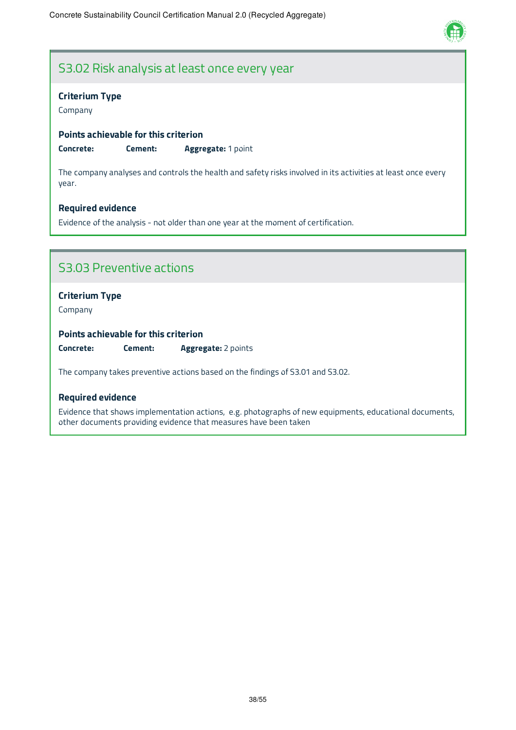

### S3.02 Risk analysis at least once every year

#### **Criterium Type**

Company

#### **Points achievable for this criterion**

**Concrete: Cement: Aggregate:** 1 point

The company analyses and controls the health and safety risks involved in its activities at least once every year.

#### **Required evidence**

Evidence of the analysis - not older than one year at the moment of certification.

### S3.03 Preventive actions

#### **Criterium Type**

Company

**Points achievable for this criterion**

**Concrete: Cement: Aggregate:** 2 points

The company takes preventive actions based on the findings of S3.01 and S3.02.

#### **Required evidence**

Evidence that shows implementation actions, e.g. photographs of new equipments, educational documents, other documents providing evidence that measures have been taken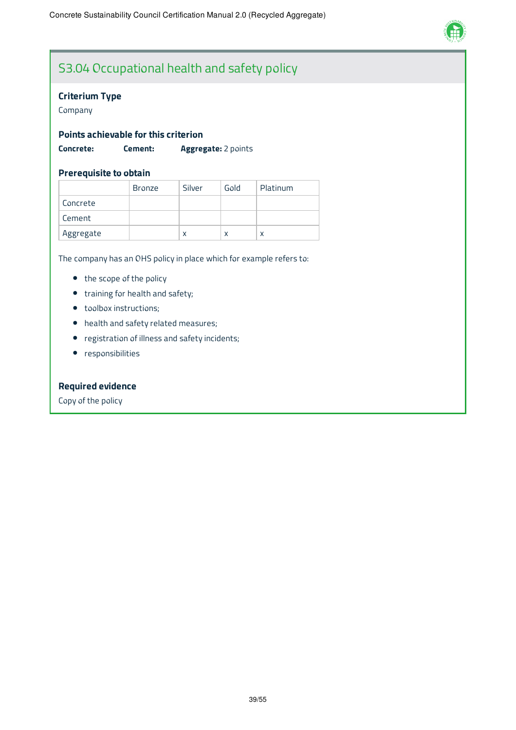

# S3.04 Occupational health and safety policy

#### **Criterium Type**

Company

#### **Points achievable for this criterion**

**Concrete: Cement: Aggregate:** 2 points

#### **Prerequisite to obtain**

|           | <b>Bronze</b> | Silver | Gold | Platinum |
|-----------|---------------|--------|------|----------|
| Concrete  |               |        |      |          |
| Cement    |               |        |      |          |
| Aggregate |               | x      | χ    | x        |

The company has an OHS policy in place which for example refers to:

- the scope of the policy
- training for health and safety;
- toolbox instructions;
- health and safety related measures;
- registration of illness and safety incidents;
- responsibilities

#### **Required evidence**

Copy of the policy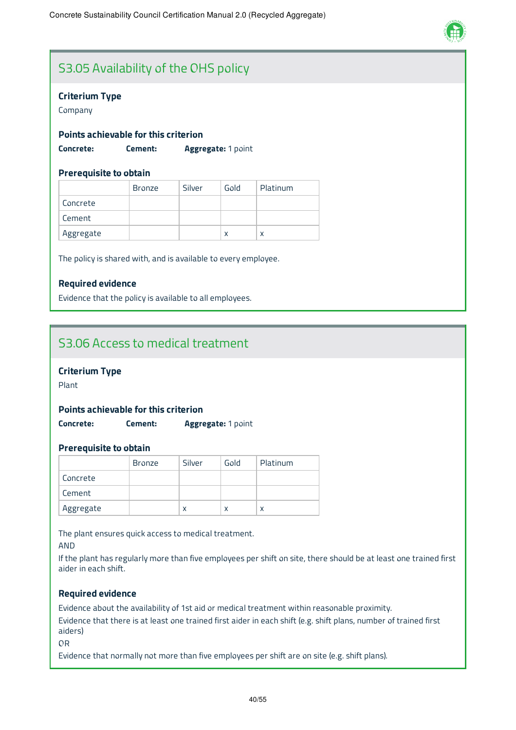

# S3.05 Availability of the OHS policy

#### **Criterium Type**

Company

#### **Points achievable for this criterion**

**Concrete: Cement: Aggregate:** 1 point

#### **Prerequisite to obtain**

|           | <b>Bronze</b> | Silver | Gold | Platinum |
|-----------|---------------|--------|------|----------|
| Concrete  |               |        |      |          |
| Cement    |               |        |      |          |
| Aggregate |               |        | X    | x        |

The policy is shared with, and is available to every employee.

#### **Required evidence**

Evidence that the policy is available to all employees.

### S3.06 Access to medical treatment

#### **Criterium Type**

Plant

#### **Points achievable for this criterion**

**Concrete: Cement: Aggregate:** 1 point

#### **Prerequisite to obtain**

|           | <b>Bronze</b> | Silver | Gold | Platinum |
|-----------|---------------|--------|------|----------|
| Concrete  |               |        |      |          |
| Cement    |               |        |      |          |
| Aggregate |               | x      |      | x        |

The plant ensures quick access to medical treatment.

AND

If the plant has regularly more than five employees per shift on site, there should be at least one trained first aider in each shift.

#### **Required evidence**

Evidence about the availability of 1st aid or medical treatment within reasonable proximity. Evidence that there is at least one trained first aider in each shift (e.g. shift plans, number of trained first aiders)

OR

Evidence that normally not more than five employees per shift are on site (e.g. shift plans).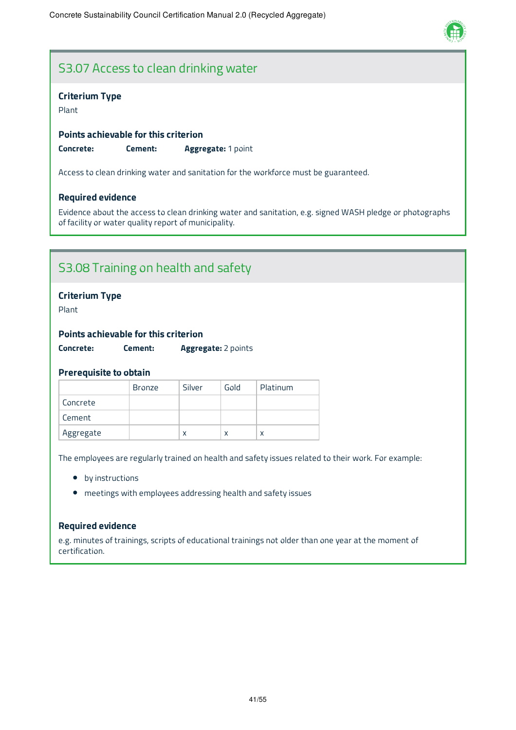

### S3.07 Access to clean drinking water

#### **Criterium Type**

Plant

**Points achievable for this criterion Concrete: Cement: Aggregate:** 1 point

Access to clean drinking water and sanitation for the workforce must be guaranteed.

#### **Required evidence**

Evidence about the access to clean drinking water and sanitation, e.g. signed WASH pledge or photographs of facility or water quality report of municipality.

### S3.08 Training on health and safety

#### **Criterium Type**

Plant

#### **Points achievable for this criterion**

**Concrete: Cement: Aggregate:** 2 points

#### **Prerequisite to obtain**

|           | <b>Bronze</b> | Silver | Gold | Platinum |
|-----------|---------------|--------|------|----------|
| Concrete  |               |        |      |          |
| Cement    |               |        |      |          |
| Aggregate |               | X      | X    | x        |

The employees are regularly trained on health and safety issues related to their work. For example:

- by instructions
- meetings with employees addressing health and safety issues

#### **Required evidence**

e.g. minutes of trainings, scripts of educational trainings not older than one year at the moment of certification.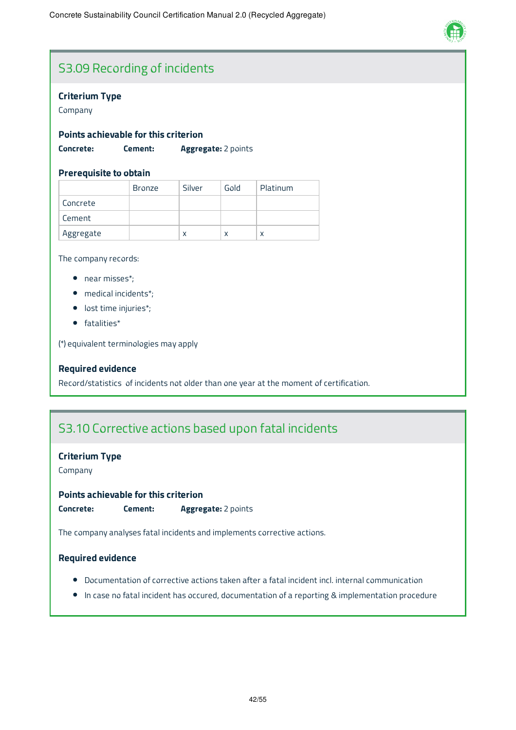

# S3.09 Recording of incidents

#### **Criterium Type**

Company

#### **Points achievable for this criterion**

**Concrete: Cement: Aggregate:** 2 points

#### **Prerequisite to obtain**

|           | <b>Bronze</b> | Silver | Gold | Platinum |
|-----------|---------------|--------|------|----------|
| Concrete  |               |        |      |          |
| Cement    |               |        |      |          |
| Aggregate |               | x      | x    | x        |

The company records:

- near misses\*;
- medical incidents\*;
- lost time injuries\*;
- fatalities\*

(\*) equivalent terminologies may apply

#### **Required evidence**

Record/statistics of incidents not older than one year at the moment of certification.

### S3.10 Corrective actions based upon fatal incidents

#### **Criterium Type**

Company

**Points achievable for this criterion Concrete: Cement: Aggregate:** 2 points

The company analyses fatal incidents and implements corrective actions.

#### **Required evidence**

- Documentation of corrective actions taken after a fatal incident incl. internal communication
- In case no fatal incident has occured, documentation of a reporting & implementation procedure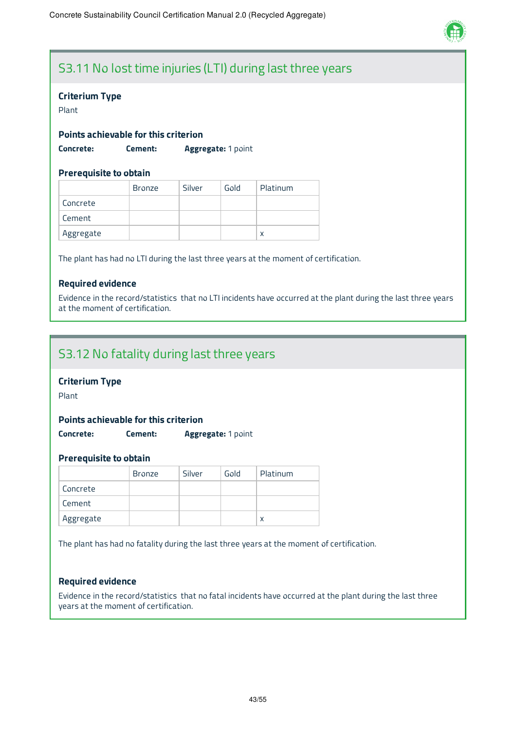

# S3.11 No lost time injuries (LTI) during last three years

#### **Criterium Type**

Plant

#### **Points achievable for this criterion**

**Concrete: Cement: Aggregate:** 1 point

#### **Prerequisite to obtain**

|           | <b>Bronze</b> | Silver | Gold | Platinum |
|-----------|---------------|--------|------|----------|
| Concrete  |               |        |      |          |
| Cement    |               |        |      |          |
| Aggregate |               |        |      | x        |

The plant has had no LTI during the last three years at the moment of certification.

#### **Required evidence**

Evidence in the record/statistics that no LTI incidents have occurred at the plant during the last three years at the moment of certification.

### S3.12 No fatality during last three years

#### **Criterium Type**

Plant

#### **Points achievable for this criterion**

**Concrete: Cement: Aggregate:** 1 point

#### **Prerequisite to obtain**

|           | Bronze | Silver | Gold | Platinum |
|-----------|--------|--------|------|----------|
| Concrete  |        |        |      |          |
| Cement    |        |        |      |          |
| Aggregate |        |        |      | x        |

The plant has had no fatality during the last three years at the moment of certification.

#### **Required evidence**

Evidence in the record/statistics that no fatal incidents have occurred at the plant during the last three years at the moment of certification.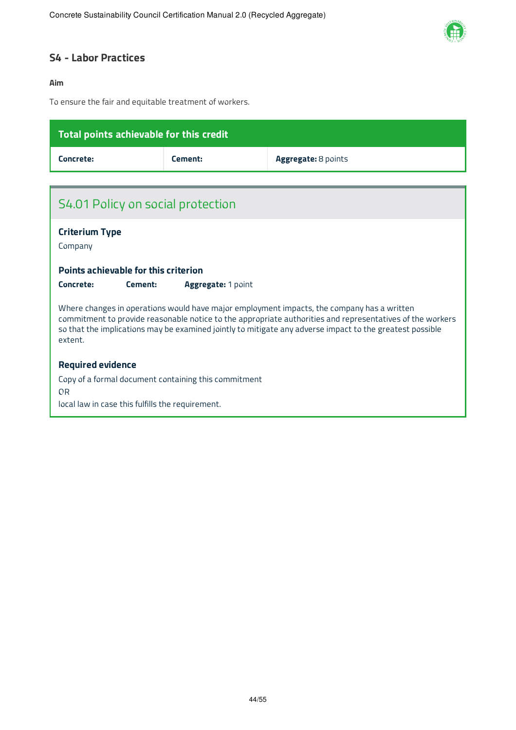

### **S4 - Labor Practices**

#### **Aim**

To ensure the fair and equitable treatment of workers.

| Total points achievable for this credit                                |                           |                                                                                                                                                                                                                                                                                                                     |  |  |  |  |
|------------------------------------------------------------------------|---------------------------|---------------------------------------------------------------------------------------------------------------------------------------------------------------------------------------------------------------------------------------------------------------------------------------------------------------------|--|--|--|--|
| Concrete:                                                              | Cement:                   | Aggregate: 8 points                                                                                                                                                                                                                                                                                                 |  |  |  |  |
|                                                                        |                           |                                                                                                                                                                                                                                                                                                                     |  |  |  |  |
| S4.01 Policy on social protection                                      |                           |                                                                                                                                                                                                                                                                                                                     |  |  |  |  |
| <b>Criterium Type</b>                                                  |                           |                                                                                                                                                                                                                                                                                                                     |  |  |  |  |
| Company                                                                |                           |                                                                                                                                                                                                                                                                                                                     |  |  |  |  |
| Points achievable for this criterion                                   |                           |                                                                                                                                                                                                                                                                                                                     |  |  |  |  |
| Concrete:<br>Cement:                                                   | <b>Aggregate: 1 point</b> |                                                                                                                                                                                                                                                                                                                     |  |  |  |  |
| extent.                                                                |                           | Where changes in operations would have major employment impacts, the company has a written<br>commitment to provide reasonable notice to the appropriate authorities and representatives of the workers<br>so that the implications may be examined jointly to mitigate any adverse impact to the greatest possible |  |  |  |  |
| <b>Required evidence</b>                                               |                           |                                                                                                                                                                                                                                                                                                                     |  |  |  |  |
| Copy of a formal document containing this commitment<br>0 <sub>R</sub> |                           |                                                                                                                                                                                                                                                                                                                     |  |  |  |  |
| local law in case this fulfills the requirement.                       |                           |                                                                                                                                                                                                                                                                                                                     |  |  |  |  |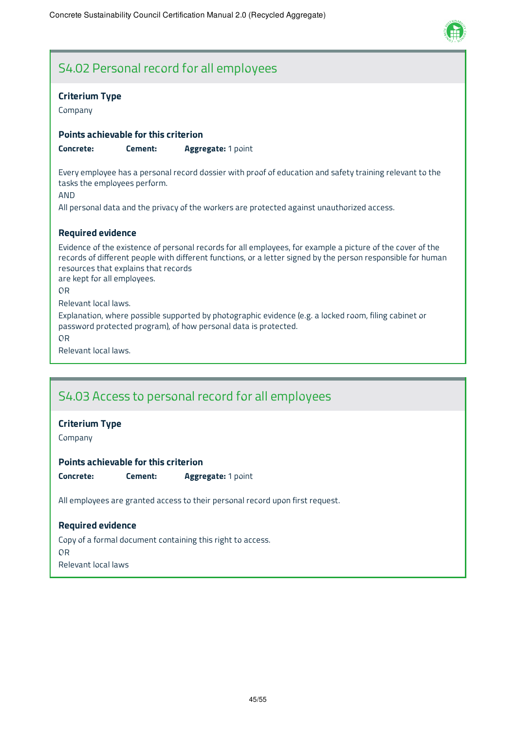

### S4.02 Personal record for all employees

#### **Criterium Type**

Company

#### **Points achievable for this criterion**

**Concrete: Cement: Aggregate:** 1 point

Every employee has a personal record dossier with proof of education and safety training relevant to the tasks the employees perform.

AND

All personal data and the privacy of the workers are protected against unauthorized access.

#### **Required evidence**

Evidence of the existence of personal records for all employees, for example a picture of the cover of the records of different people with different functions, or a letter signed by the person responsible for human resources that explains that records

are kept for all employees.

OR

Relevant local laws.

Explanation, where possible supported by photographic evidence (e.g. a locked room, filing cabinet or password protected program), of how personal data is protected.

OR

Relevant local laws.

### S4.03 Access to personal record for all employees

#### **Criterium Type**

Company

#### **Points achievable for this criterion**

**Concrete: Cement: Aggregate:** 1 point

All employees are granted access to their personal record upon first request.

#### **Required evidence**

Copy of a formal document containing this right to access. OR

Relevant local laws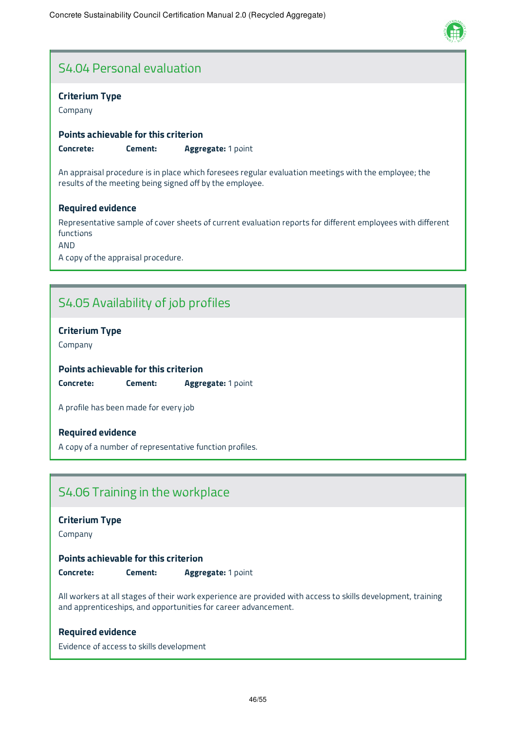

### S4.04 Personal evaluation

#### **Criterium Type**

Company

#### **Points achievable for this criterion**

**Concrete: Cement: Aggregate:** 1 point

An appraisal procedure is in place which foresees regular evaluation meetings with the employee; the results of the meeting being signed off by the employee.

#### **Required evidence**

Representative sample of cover sheets of current evaluation reports for different employees with different functions

AND

A copy of the appraisal procedure.

# S4.05 Availability of job profiles

#### **Criterium Type**

Company

#### **Points achievable for this criterion**

**Concrete: Cement: Aggregate:** 1 point

A profile has been made for every job

#### **Required evidence**

A copy of a number of representative function profiles.

### S4.06 Training in the workplace

#### **Criterium Type**

Company

#### **Points achievable for this criterion**

**Concrete: Cement: Aggregate:** 1 point

All workers at all stages of their work experience are provided with access to skills development, training and apprenticeships, and opportunities for career advancement.

#### **Required evidence**

Evidence of access to skills development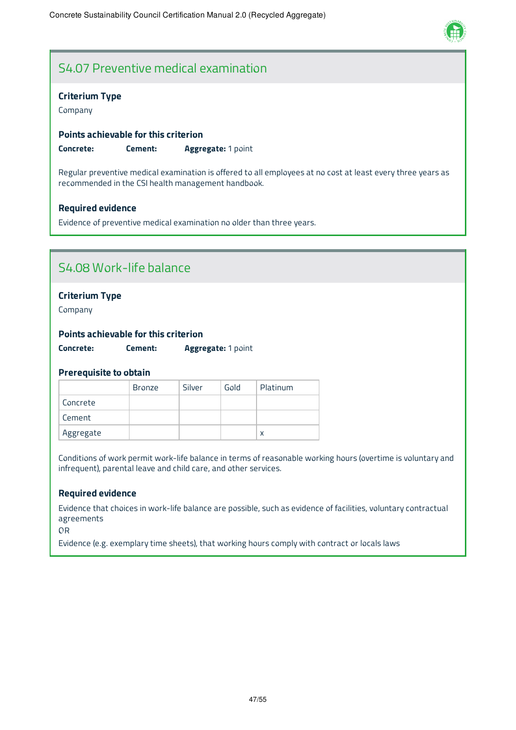

# S4.07 Preventive medical examination

#### **Criterium Type**

Company

#### **Points achievable for this criterion**

**Concrete: Cement: Aggregate:** 1 point

Regular preventive medical examination is offered to all employees at no cost at least every three years as recommended in the CSI health management handbook.

#### **Required evidence**

Evidence of preventive medical examination no older than three years.

### S4.08 Work-life balance

#### **Criterium Type**

Company

#### **Points achievable for this criterion**

**Concrete: Cement: Aggregate:** 1 point

#### **Prerequisite to obtain**

|           | <b>Bronze</b> | Silver | Gold | Platinum |
|-----------|---------------|--------|------|----------|
| Concrete  |               |        |      |          |
| Cement    |               |        |      |          |
| Aggregate |               |        |      |          |

Conditions of work permit work-life balance in terms of reasonable working hours (overtime is voluntary and infrequent), parental leave and child care, and other services.

#### **Required evidence**

Evidence that choices in work-life balance are possible, such as evidence of facilities, voluntary contractual agreements

OR

Evidence (e.g. exemplary time sheets), that working hours comply with contract or locals laws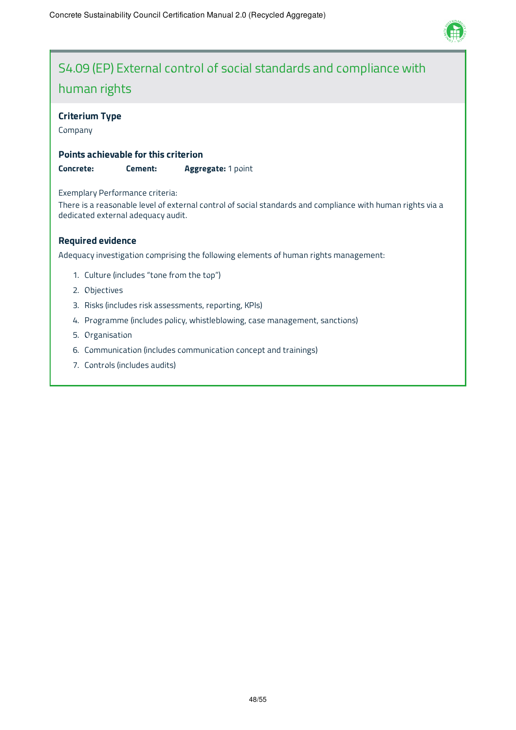

# S4.09 (EP) External control of social standards and compliance with human rights

#### **Criterium Type**

Company

#### **Points achievable for this criterion**

**Concrete: Cement: Aggregate:** 1 point

Exemplary Performance criteria:

There is a reasonable level of external control of social standards and compliance with human rights via a dedicated external adequacy audit.

#### **Required evidence**

Adequacy investigation comprising the following elements of human rights management:

- 1. Culture (includes "tone from the top")
- 2. Objectives
- 3. Risks (includes risk assessments, reporting, KPIs)
- 4. Programme (includes policy, whistleblowing, case management, sanctions)
- 5. Organisation
- 6. Communication (includes communication concept and trainings)
- 7. Controls (includes audits)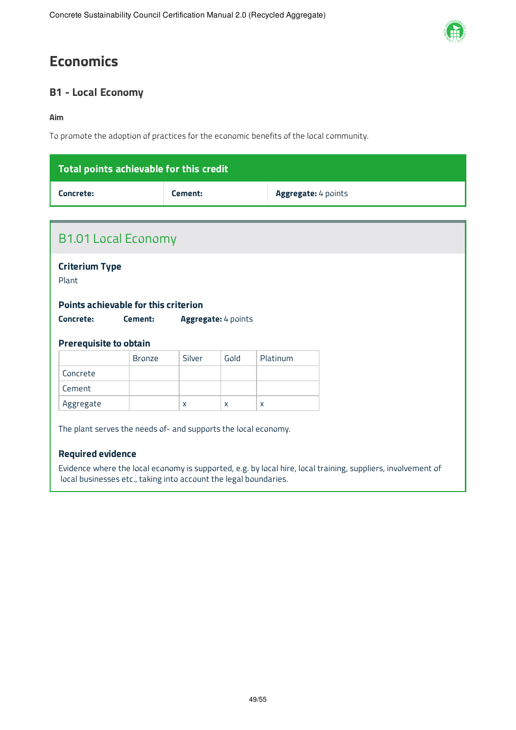# **Economics**

### **B1 - Local Economy**

#### **Aim**

To promote the adoption of practices for the economic benefits of the local community.

| Total points achievable for this credit |         |                            |
|-----------------------------------------|---------|----------------------------|
| Concrete:                               | Cement: | <b>Aggregate:</b> 4 points |

| <b>Criterium Type</b><br>Plant |                                      |        |                     |          |  |
|--------------------------------|--------------------------------------|--------|---------------------|----------|--|
|                                | Points achievable for this criterion |        |                     |          |  |
| Concrete:                      | Cement:                              |        | Aggregate: 4 points |          |  |
|                                |                                      |        |                     |          |  |
| <b>Prerequisite to obtain</b>  |                                      |        |                     |          |  |
|                                | <b>Bronze</b>                        | Silver | Gold                | Platinum |  |
| Concrete                       |                                      |        |                     |          |  |
| Cement                         |                                      |        |                     |          |  |

#### **Required evidence**

Evidence where the local economy is supported, e.g. by local hire, local training, suppliers, involvement of local businesses etc., taking into account the legal boundaries.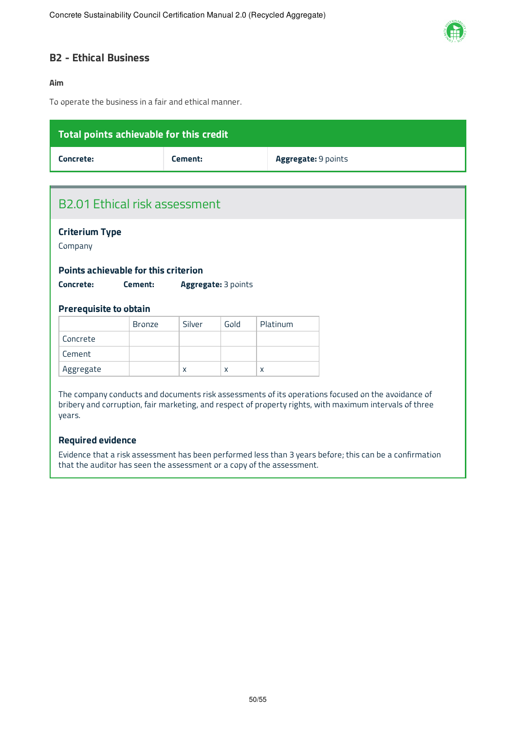

#### **B2 - Ethical Business**

#### **Aim**

To operate the business in a fair and ethical manner.

| Total points achievable for this credit   |         |                     |
|-------------------------------------------|---------|---------------------|
| Concrete:                                 | Cement: | Aggregate: 9 points |
|                                           |         |                     |
| B <sub>2.01</sub> Ethical risk assessment |         |                     |
| <b>Criterium Type</b><br>Company          |         |                     |
| Points achievable for this criterion      |         |                     |

| Concrete: | Cement: | <b>Aggregate: 3 points</b> |
|-----------|---------|----------------------------|

#### **Prerequisite to obtain**

|           | <b>Bronze</b> | Silver | Gold | Platinum |
|-----------|---------------|--------|------|----------|
| Concrete  |               |        |      |          |
| Cement    |               |        |      |          |
| Aggregate |               | X      | X    |          |

The company conducts and documents risk assessments of its operations focused on the avoidance of bribery and corruption, fair marketing, and respect of property rights, with maximum intervals of three years.

#### **Required evidence**

Evidence that a risk assessment has been performed less than 3 years before; this can be a confirmation that the auditor has seen the assessment or a copy of the assessment.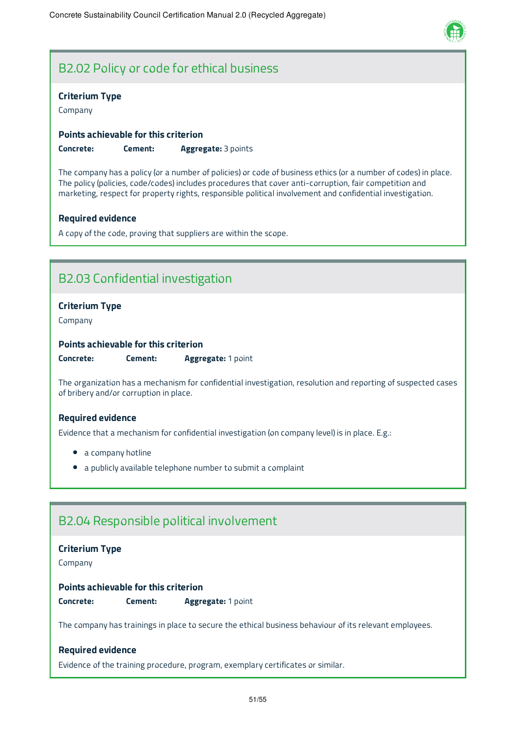

### B2.02 Policy or code for ethical business

#### **Criterium Type**

Company

#### **Points achievable for this criterion**

**Concrete: Cement: Aggregate:** 3 points

The company has a policy (or a number of policies) or code of business ethics (or a number of codes) in place. The policy (policies, code/codes) includes procedures that cover anti-corruption, fair competition and marketing, respect for property rights, responsible political involvement and confidential investigation.

#### **Required evidence**

A copy of the code, proving that suppliers are within the scope.

### B2.03 Confidential investigation

#### **Criterium Type**

Company

#### **Points achievable for this criterion**

**Concrete: Cement: Aggregate:** 1 point

The organization has a mechanism for confidential investigation, resolution and reporting of suspected cases of bribery and/or corruption in place.

#### **Required evidence**

Evidence that a mechanism for confidential investigation (on company level) is in place. E.g.:

- a company hotline
- a publicly available telephone number to submit a complaint

### B2.04 Responsible political involvement

#### **Criterium Type**

Company

#### **Points achievable for this criterion**

**Concrete: Cement: Aggregate:** 1 point

The company has trainings in place to secure the ethical business behaviour of its relevant employees.

#### **Required evidence**

Evidence of the training procedure, program, exemplary certificates or similar.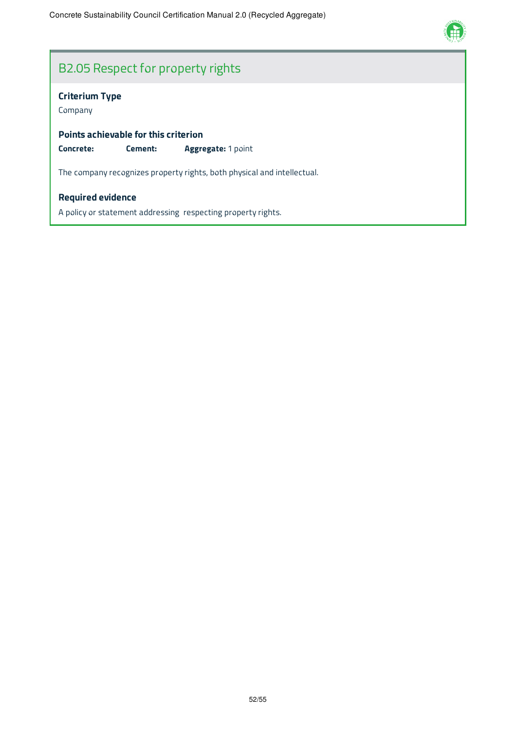

# B2.05 Respect for property rights

#### **Criterium Type**

Company

**Points achievable for this criterion**

**Concrete: Cement: Aggregate:** 1 point

The company recognizes property rights, both physical and intellectual.

#### **Required evidence**

A policy or statement addressing respecting property rights.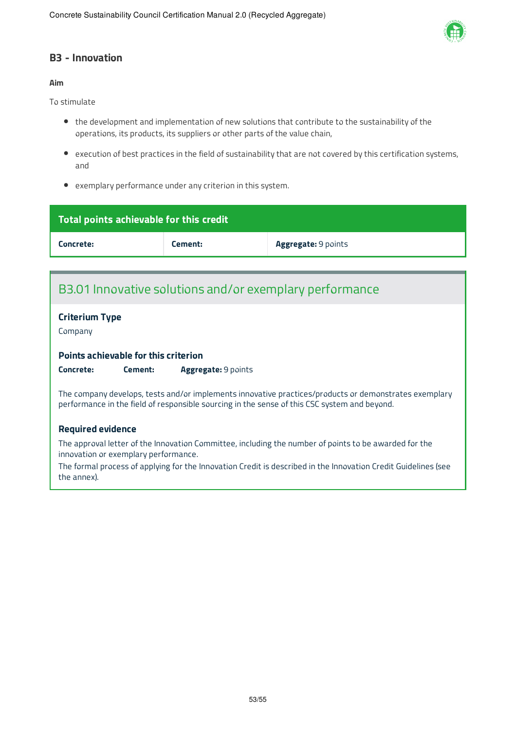

#### **B3 - Innovation**

#### **Aim**

To stimulate

- the development and implementation of new solutions that contribute to the sustainability of the operations, its products, its suppliers or other parts of the value chain,
- execution of best practices in the field of sustainability that are not covered by this certification systems, and
- exemplary performance under any criterion in this system.

| Total points achievable for this credit |         |                            |  |
|-----------------------------------------|---------|----------------------------|--|
| Concrete:                               | Cement: | <b>Aggregate: 9 points</b> |  |

### B3.01 Innovative solutions and/or exemplary performance

#### **Criterium Type**

Company

#### **Points achievable for this criterion**

**Concrete: Cement: Aggregate:** 9 points

The company develops, tests and/or implements innovative practices/products or demonstrates exemplary performance in the field of responsible sourcing in the sense of this CSC system and beyond.

#### **Required evidence**

The approval letter of the Innovation Committee, including the number of points to be awarded for the innovation or exemplary performance.

The formal process of applying for the Innovation Credit is described in the Innovation Credit Guidelines (see the annex).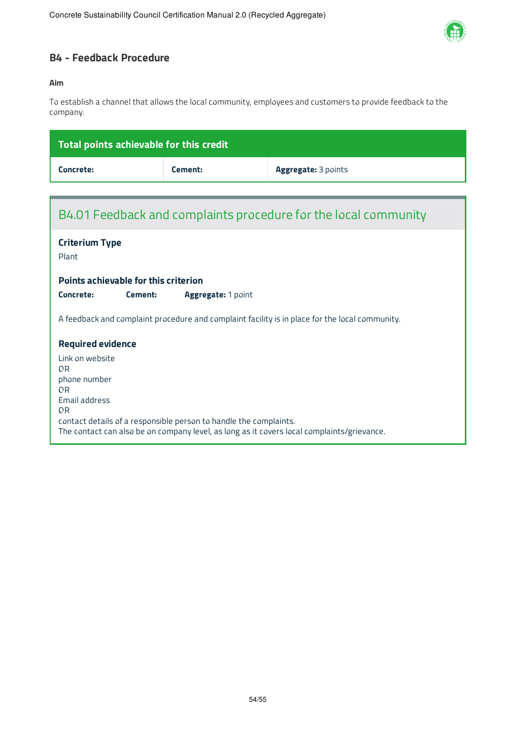

### **B4 - Feedback Procedure**

#### **Aim**

To establish a channel that allows the local community, employees and customers to provide feedback to the company.

| Total points achievable for this credit                                                                                                                                                                                                                         |         |                     |  |  |
|-----------------------------------------------------------------------------------------------------------------------------------------------------------------------------------------------------------------------------------------------------------------|---------|---------------------|--|--|
| Concrete:                                                                                                                                                                                                                                                       | Cement: | Aggregate: 3 points |  |  |
|                                                                                                                                                                                                                                                                 |         |                     |  |  |
| B4.01 Feedback and complaints procedure for the local community                                                                                                                                                                                                 |         |                     |  |  |
| <b>Criterium Type</b><br>Plant                                                                                                                                                                                                                                  |         |                     |  |  |
| <b>Points achievable for this criterion</b>                                                                                                                                                                                                                     |         |                     |  |  |
| Concrete:<br>Cement:<br><b>Aggregate: 1 point</b>                                                                                                                                                                                                               |         |                     |  |  |
| A feedback and complaint procedure and complaint facility is in place for the local community.                                                                                                                                                                  |         |                     |  |  |
| <b>Required evidence</b>                                                                                                                                                                                                                                        |         |                     |  |  |
| Link on website<br>0 <sub>R</sub><br>phone number<br><b>OR</b><br>Email address<br><b>OR</b><br>contact details of a responsible person to handle the complaints.<br>The contact can also be on company level, as long as it covers local complaints/grievance. |         |                     |  |  |